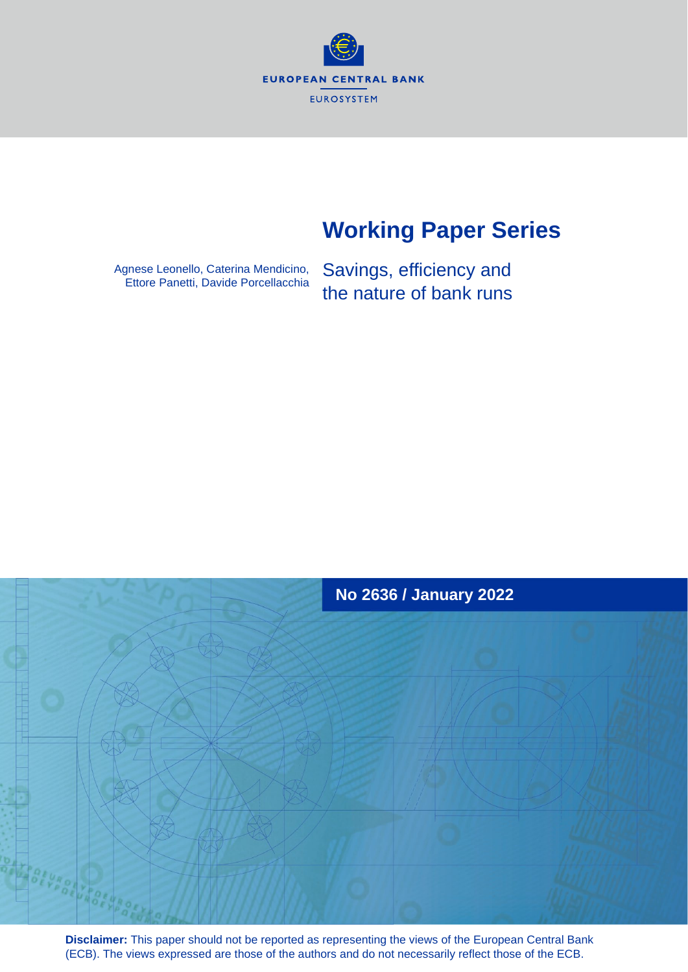**EUROPEAN CENTRAL BANK** EUROSYSTEM

# **Working Paper Series**

Agnese Leonello, Caterina Mendicino, Ettore Panetti, Davide Porcellacchia

Savings, efficiency and the nature of bank runs



**Disclaimer:** This paper should not be reported as representing the views of the European Central Bank (ECB). The views expressed are those of the authors and do not necessarily reflect those of the ECB.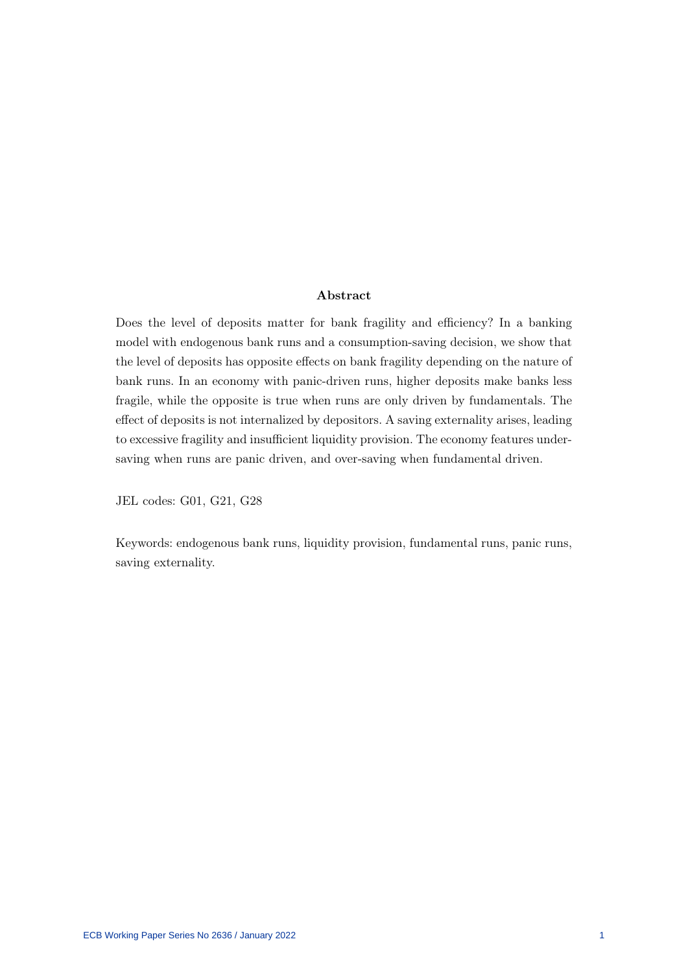#### Abstract

Does the level of deposits matter for bank fragility and efficiency? In a banking model with endogenous bank runs and a consumption-saving decision, we show that the level of deposits has opposite effects on bank fragility depending on the nature of bank runs. In an economy with panic-driven runs, higher deposits make banks less fragile, while the opposite is true when runs are only driven by fundamentals. The effect of deposits is not internalized by depositors. A saving externality arises, leading to excessive fragility and insufficient liquidity provision. The economy features undersaving when runs are panic driven, and over-saving when fundamental driven.

JEL codes: G01, G21, G28

Keywords: endogenous bank runs, liquidity provision, fundamental runs, panic runs, saving externality.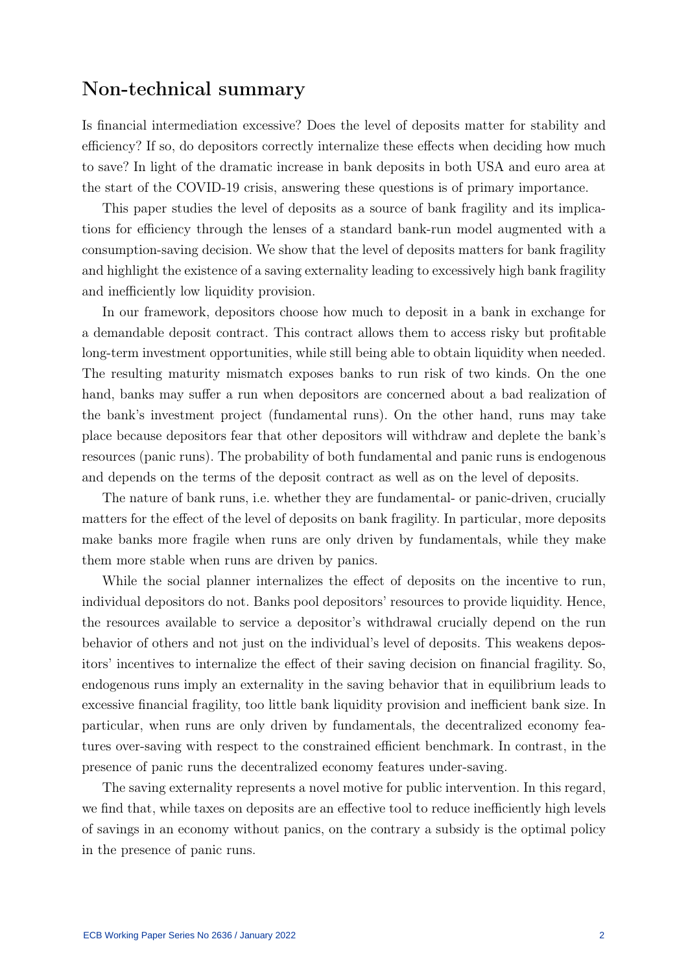## Non-technical summary

Is financial intermediation excessive? Does the level of deposits matter for stability and efficiency? If so, do depositors correctly internalize these effects when deciding how much to save? In light of the dramatic increase in bank deposits in both USA and euro area at the start of the COVID-19 crisis, answering these questions is of primary importance.

This paper studies the level of deposits as a source of bank fragility and its implications for efficiency through the lenses of a standard bank-run model augmented with a consumption-saving decision. We show that the level of deposits matters for bank fragility and highlight the existence of a saving externality leading to excessively high bank fragility and inefficiently low liquidity provision.

In our framework, depositors choose how much to deposit in a bank in exchange for a demandable deposit contract. This contract allows them to access risky but profitable long-term investment opportunities, while still being able to obtain liquidity when needed. The resulting maturity mismatch exposes banks to run risk of two kinds. On the one hand, banks may suffer a run when depositors are concerned about a bad realization of the bank's investment project (fundamental runs). On the other hand, runs may take place because depositors fear that other depositors will withdraw and deplete the bank's resources (panic runs). The probability of both fundamental and panic runs is endogenous and depends on the terms of the deposit contract as well as on the level of deposits.

The nature of bank runs, i.e. whether they are fundamental- or panic-driven, crucially matters for the effect of the level of deposits on bank fragility. In particular, more deposits make banks more fragile when runs are only driven by fundamentals, while they make them more stable when runs are driven by panics.

While the social planner internalizes the effect of deposits on the incentive to run, individual depositors do not. Banks pool depositors' resources to provide liquidity. Hence, the resources available to service a depositor's withdrawal crucially depend on the run behavior of others and not just on the individual's level of deposits. This weakens depositors' incentives to internalize the effect of their saving decision on financial fragility. So, endogenous runs imply an externality in the saving behavior that in equilibrium leads to excessive financial fragility, too little bank liquidity provision and inefficient bank size. In particular, when runs are only driven by fundamentals, the decentralized economy features over-saving with respect to the constrained efficient benchmark. In contrast, in the presence of panic runs the decentralized economy features under-saving.

The saving externality represents a novel motive for public intervention. In this regard, we find that, while taxes on deposits are an effective tool to reduce inefficiently high levels of savings in an economy without panics, on the contrary a subsidy is the optimal policy in the presence of panic runs.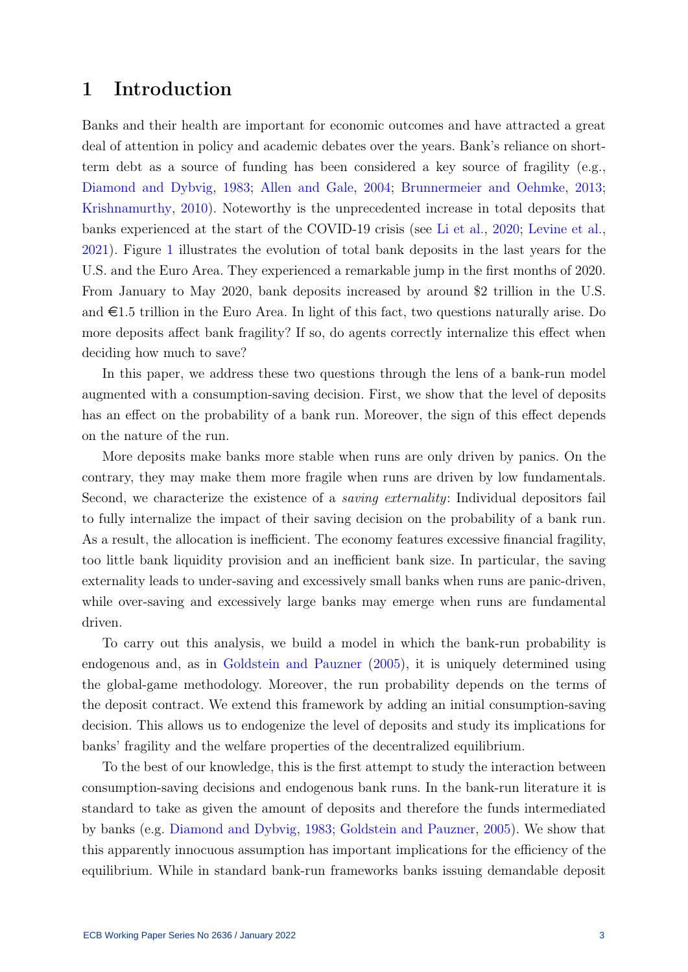## 1 Introduction

Banks and their health are important for economic outcomes and have attracted a great deal of attention in policy and academic debates over the years. Bank's reliance on shortterm debt as a source of funding has been considered a key source of fragility (e.g., [Diamond and Dybvig,](#page-30-0) [1983;](#page-30-0) [Allen and Gale,](#page-29-0) [2004;](#page-29-0) [Brunnermeier and Oehmke,](#page-29-1) [2013;](#page-29-1) [Krishnamurthy,](#page-31-0) [2010\)](#page-31-0). Noteworthy is the unprecedented increase in total deposits that banks experienced at the start of the COVID-19 crisis (see [Li et al.,](#page-31-1) [2020;](#page-31-1) [Levine et al.,](#page-31-2) [2021\)](#page-31-2). Figure [1](#page-4-0) illustrates the evolution of total bank deposits in the last years for the U.S. and the Euro Area. They experienced a remarkable jump in the first months of 2020. From January to May 2020, bank deposits increased by around \$2 trillion in the U.S. and  $\epsilon$ 1.5 trillion in the Euro Area. In light of this fact, two questions naturally arise. Do more deposits affect bank fragility? If so, do agents correctly internalize this effect when deciding how much to save?

In this paper, we address these two questions through the lens of a bank-run model augmented with a consumption-saving decision. First, we show that the level of deposits has an effect on the probability of a bank run. Moreover, the sign of this effect depends on the nature of the run.

More deposits make banks more stable when runs are only driven by panics. On the contrary, they may make them more fragile when runs are driven by low fundamentals. Second, we characterize the existence of a *saving externality*: Individual depositors fail to fully internalize the impact of their saving decision on the probability of a bank run. As a result, the allocation is inefficient. The economy features excessive financial fragility, too little bank liquidity provision and an inefficient bank size. In particular, the saving externality leads to under-saving and excessively small banks when runs are panic-driven, while over-saving and excessively large banks may emerge when runs are fundamental driven.

To carry out this analysis, we build a model in which the bank-run probability is endogenous and, as in [Goldstein and Pauzner](#page-30-1) [\(2005\)](#page-30-1), it is uniquely determined using the global-game methodology. Moreover, the run probability depends on the terms of the deposit contract. We extend this framework by adding an initial consumption-saving decision. This allows us to endogenize the level of deposits and study its implications for banks' fragility and the welfare properties of the decentralized equilibrium.

To the best of our knowledge, this is the first attempt to study the interaction between consumption-saving decisions and endogenous bank runs. In the bank-run literature it is standard to take as given the amount of deposits and therefore the funds intermediated by banks (e.g. [Diamond and Dybvig,](#page-30-0) [1983;](#page-30-0) [Goldstein and Pauzner,](#page-30-1) [2005\)](#page-30-1). We show that this apparently innocuous assumption has important implications for the efficiency of the equilibrium. While in standard bank-run frameworks banks issuing demandable deposit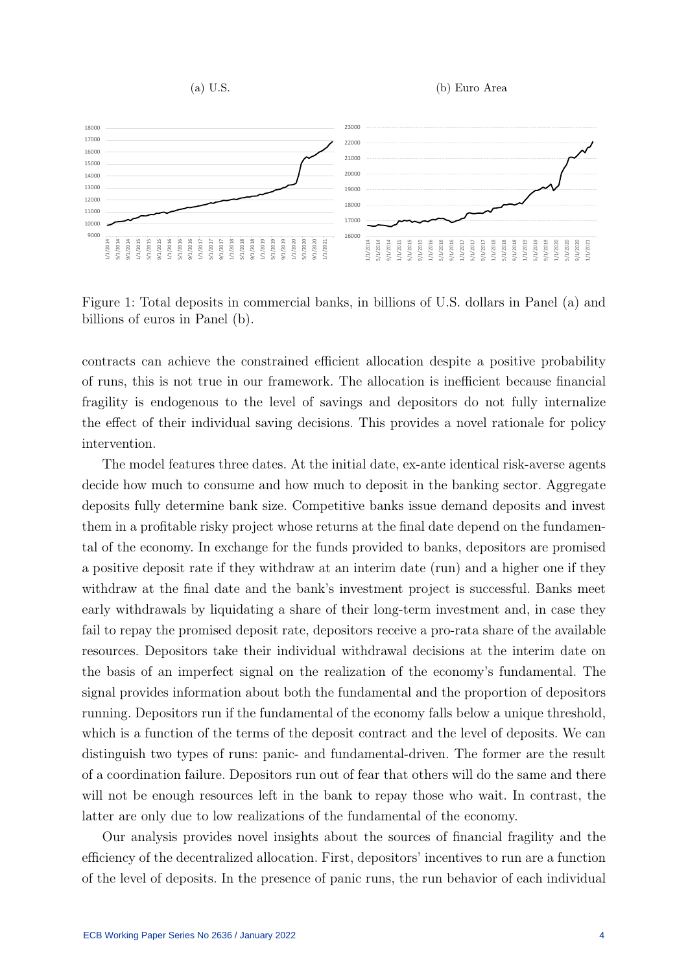<span id="page-4-0"></span>

Figure 1: Total deposits in commercial banks, in billions of U.S. dollars in Panel (a) and billions of euros in Panel (b).

contracts can achieve the constrained efficient allocation despite a positive probability of runs, this is not true in our framework. The allocation is inefficient because financial fragility is endogenous to the level of savings and depositors do not fully internalize the effect of their individual saving decisions. This provides a novel rationale for policy intervention.

The model features three dates. At the initial date, ex-ante identical risk-averse agents decide how much to consume and how much to deposit in the banking sector. Aggregate deposits fully determine bank size. Competitive banks issue demand deposits and invest them in a profitable risky project whose returns at the final date depend on the fundamental of the economy. In exchange for the funds provided to banks, depositors are promised a positive deposit rate if they withdraw at an interim date (run) and a higher one if they withdraw at the final date and the bank's investment project is successful. Banks meet early withdrawals by liquidating a share of their long-term investment and, in case they fail to repay the promised deposit rate, depositors receive a pro-rata share of the available resources. Depositors take their individual withdrawal decisions at the interim date on the basis of an imperfect signal on the realization of the economy's fundamental. The signal provides information about both the fundamental and the proportion of depositors running. Depositors run if the fundamental of the economy falls below a unique threshold, which is a function of the terms of the deposit contract and the level of deposits. We can distinguish two types of runs: panic- and fundamental-driven. The former are the result of a coordination failure. Depositors run out of fear that others will do the same and there will not be enough resources left in the bank to repay those who wait. In contrast, the latter are only due to low realizations of the fundamental of the economy.

Our analysis provides novel insights about the sources of financial fragility and the efficiency of the decentralized allocation. First, depositors' incentives to run are a function of the level of deposits. In the presence of panic runs, the run behavior of each individual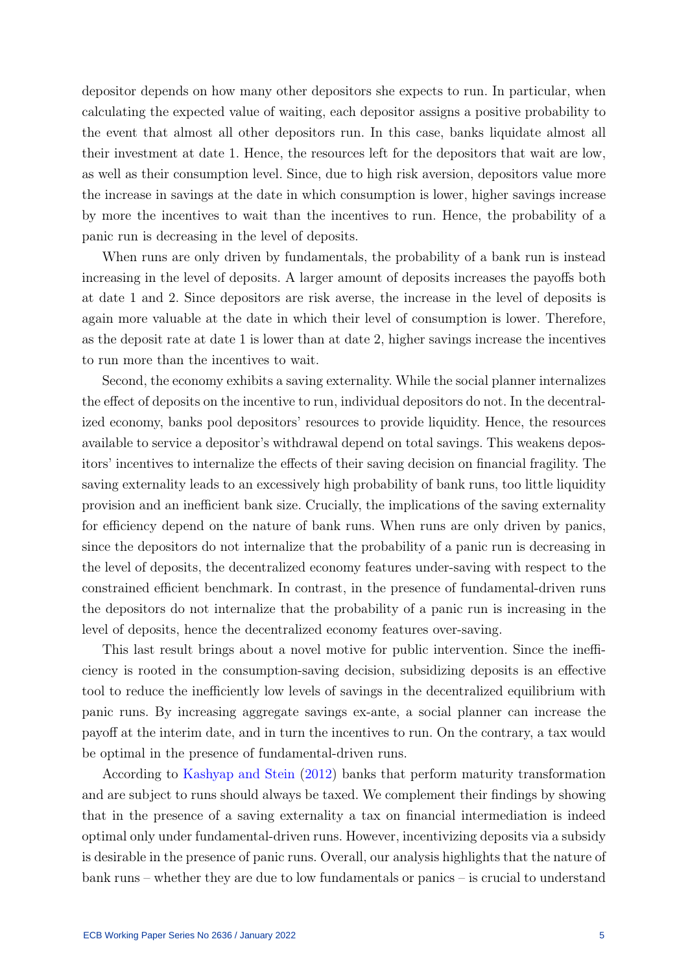depositor depends on how many other depositors she expects to run. In particular, when calculating the expected value of waiting, each depositor assigns a positive probability to the event that almost all other depositors run. In this case, banks liquidate almost all their investment at date 1. Hence, the resources left for the depositors that wait are low, as well as their consumption level. Since, due to high risk aversion, depositors value more the increase in savings at the date in which consumption is lower, higher savings increase by more the incentives to wait than the incentives to run. Hence, the probability of a panic run is decreasing in the level of deposits.

When runs are only driven by fundamentals, the probability of a bank run is instead increasing in the level of deposits. A larger amount of deposits increases the payoffs both at date 1 and 2. Since depositors are risk averse, the increase in the level of deposits is again more valuable at the date in which their level of consumption is lower. Therefore, as the deposit rate at date 1 is lower than at date 2, higher savings increase the incentives to run more than the incentives to wait.

Second, the economy exhibits a saving externality. While the social planner internalizes the effect of deposits on the incentive to run, individual depositors do not. In the decentralized economy, banks pool depositors' resources to provide liquidity. Hence, the resources available to service a depositor's withdrawal depend on total savings. This weakens depositors' incentives to internalize the effects of their saving decision on financial fragility. The saving externality leads to an excessively high probability of bank runs, too little liquidity provision and an inefficient bank size. Crucially, the implications of the saving externality for efficiency depend on the nature of bank runs. When runs are only driven by panics, since the depositors do not internalize that the probability of a panic run is decreasing in the level of deposits, the decentralized economy features under-saving with respect to the constrained efficient benchmark. In contrast, in the presence of fundamental-driven runs the depositors do not internalize that the probability of a panic run is increasing in the level of deposits, hence the decentralized economy features over-saving.

This last result brings about a novel motive for public intervention. Since the inefficiency is rooted in the consumption-saving decision, subsidizing deposits is an effective tool to reduce the inefficiently low levels of savings in the decentralized equilibrium with panic runs. By increasing aggregate savings ex-ante, a social planner can increase the payoff at the interim date, and in turn the incentives to run. On the contrary, a tax would be optimal in the presence of fundamental-driven runs.

According to [Kashyap and Stein](#page-30-2) [\(2012\)](#page-30-2) banks that perform maturity transformation and are subject to runs should always be taxed. We complement their findings by showing that in the presence of a saving externality a tax on financial intermediation is indeed optimal only under fundamental-driven runs. However, incentivizing deposits via a subsidy is desirable in the presence of panic runs. Overall, our analysis highlights that the nature of bank runs – whether they are due to low fundamentals or panics – is crucial to understand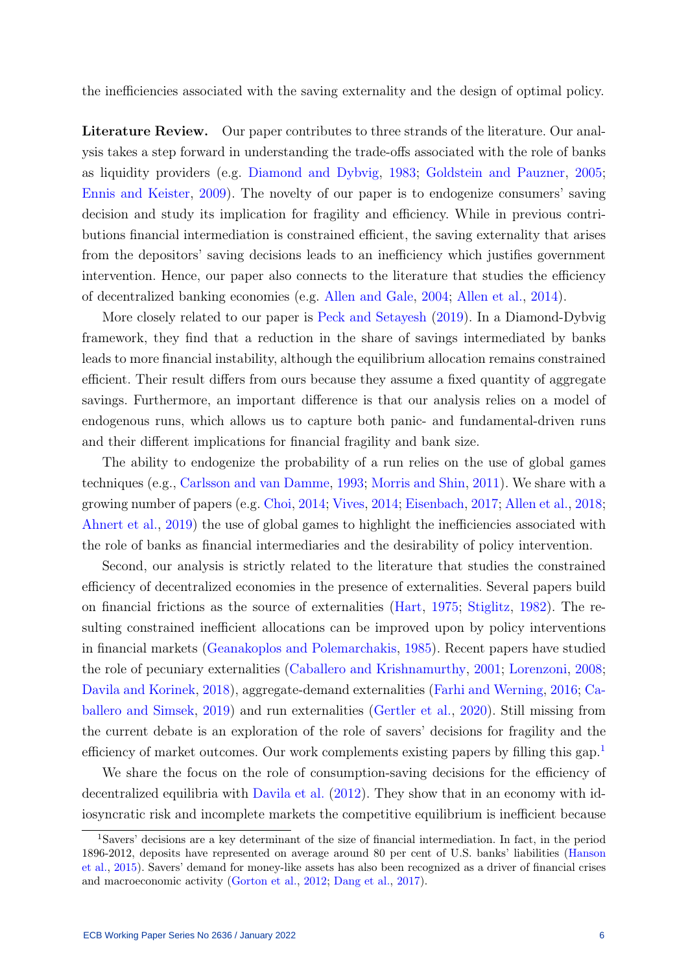the inefficiencies associated with the saving externality and the design of optimal policy.

Literature Review. Our paper contributes to three strands of the literature. Our analysis takes a step forward in understanding the trade-offs associated with the role of banks as liquidity providers (e.g. [Diamond and Dybvig,](#page-30-0) [1983;](#page-30-0) [Goldstein and Pauzner,](#page-30-1) [2005;](#page-30-1) [Ennis and Keister,](#page-30-3) [2009\)](#page-30-3). The novelty of our paper is to endogenize consumers' saving decision and study its implication for fragility and efficiency. While in previous contributions financial intermediation is constrained efficient, the saving externality that arises from the depositors' saving decisions leads to an inefficiency which justifies government intervention. Hence, our paper also connects to the literature that studies the efficiency of decentralized banking economies (e.g. [Allen and Gale,](#page-29-0) [2004;](#page-29-0) [Allen et al.,](#page-29-2) [2014\)](#page-29-2).

More closely related to our paper is [Peck and Setayesh](#page-31-3) [\(2019\)](#page-31-3). In a Diamond-Dybvig framework, they find that a reduction in the share of savings intermediated by banks leads to more financial instability, although the equilibrium allocation remains constrained efficient. Their result differs from ours because they assume a fixed quantity of aggregate savings. Furthermore, an important difference is that our analysis relies on a model of endogenous runs, which allows us to capture both panic- and fundamental-driven runs and their different implications for financial fragility and bank size.

The ability to endogenize the probability of a run relies on the use of global games techniques (e.g., [Carlsson and van Damme,](#page-29-3) [1993;](#page-29-3) [Morris and Shin,](#page-31-4) [2011\)](#page-31-4). We share with a growing number of papers (e.g. [Choi,](#page-29-4) [2014;](#page-29-4) [Vives,](#page-31-5) [2014;](#page-31-5) [Eisenbach,](#page-30-4) [2017;](#page-30-4) [Allen et al.,](#page-29-5) [2018;](#page-29-5) [Ahnert et al.,](#page-29-6) [2019\)](#page-29-6) the use of global games to highlight the inefficiencies associated with the role of banks as financial intermediaries and the desirability of policy intervention.

Second, our analysis is strictly related to the literature that studies the constrained efficiency of decentralized economies in the presence of externalities. Several papers build on financial frictions as the source of externalities [\(Hart,](#page-30-5) [1975;](#page-30-5) [Stiglitz,](#page-31-6) [1982\)](#page-31-6). The resulting constrained inefficient allocations can be improved upon by policy interventions in financial markets [\(Geanakoplos and Polemarchakis,](#page-30-6) [1985\)](#page-30-6). Recent papers have studied the role of pecuniary externalities [\(Caballero and Krishnamurthy,](#page-29-7) [2001;](#page-29-7) [Lorenzoni,](#page-31-7) [2008;](#page-31-7) [Davila and Korinek,](#page-30-7) [2018\)](#page-30-7), aggregate-demand externalities [\(Farhi and Werning,](#page-30-8) [2016;](#page-30-8) [Ca](#page-29-8)[ballero and Simsek,](#page-29-8) [2019\)](#page-29-8) and run externalities [\(Gertler et al.,](#page-30-9) [2020\)](#page-30-9). Still missing from the current debate is an exploration of the role of savers' decisions for fragility and the efficiency of market outcomes. Our work complements existing papers by filling this gap.<sup>[1](#page-6-0)</sup>

We share the focus on the role of consumption-saving decisions for the efficiency of decentralized equilibria with [Davila et al.](#page-30-10) [\(2012\)](#page-30-10). They show that in an economy with idiosyncratic risk and incomplete markets the competitive equilibrium is inefficient because

<span id="page-6-0"></span><sup>1</sup>Savers' decisions are a key determinant of the size of financial intermediation. In fact, in the period 1896-2012, deposits have represented on average around 80 per cent of U.S. banks' liabilities [\(Hanson](#page-30-11) [et al.,](#page-30-11) [2015\)](#page-30-11). Savers' demand for money-like assets has also been recognized as a driver of financial crises and macroeconomic activity [\(Gorton et al.,](#page-30-12) [2012;](#page-30-12) [Dang et al.,](#page-29-9) [2017\)](#page-29-9).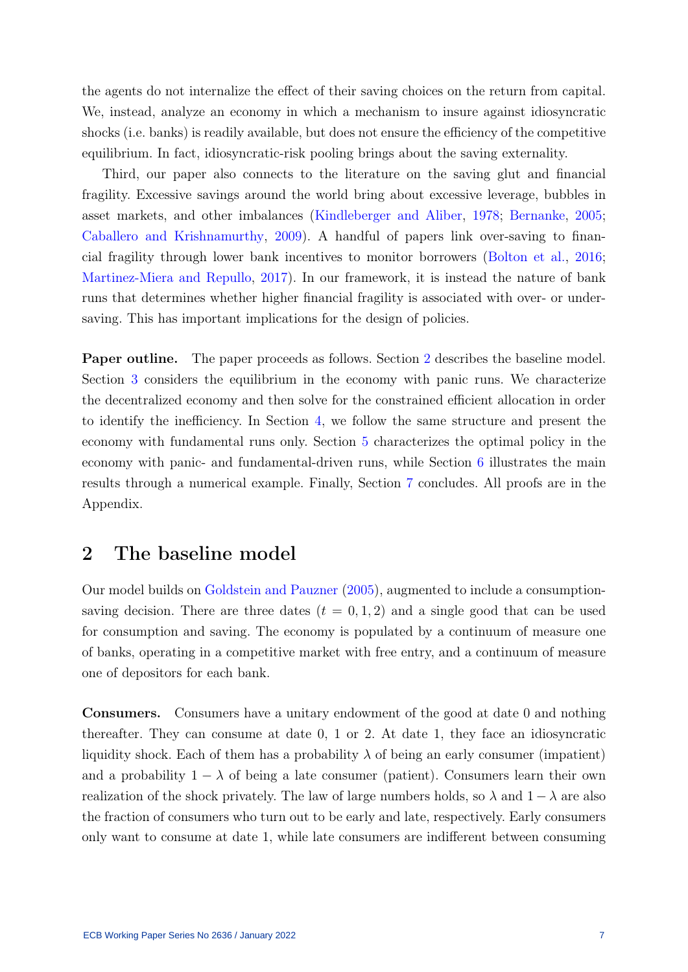the agents do not internalize the effect of their saving choices on the return from capital. We, instead, analyze an economy in which a mechanism to insure against idiosyncratic shocks (i.e. banks) is readily available, but does not ensure the efficiency of the competitive equilibrium. In fact, idiosyncratic-risk pooling brings about the saving externality.

Third, our paper also connects to the literature on the saving glut and financial fragility. Excessive savings around the world bring about excessive leverage, bubbles in asset markets, and other imbalances [\(Kindleberger and Aliber,](#page-31-8) [1978;](#page-31-8) [Bernanke,](#page-29-10) [2005;](#page-29-10) [Caballero and Krishnamurthy,](#page-29-11) [2009\)](#page-29-11). A handful of papers link over-saving to financial fragility through lower bank incentives to monitor borrowers [\(Bolton et al.,](#page-29-12) [2016;](#page-29-12) [Martinez-Miera and Repullo,](#page-31-9) [2017\)](#page-31-9). In our framework, it is instead the nature of bank runs that determines whether higher financial fragility is associated with over- or undersaving. This has important implications for the design of policies.

Paper outline. The paper proceeds as follows. Section [2](#page-7-0) describes the baseline model. Section [3](#page-10-0) considers the equilibrium in the economy with panic runs. We characterize the decentralized economy and then solve for the constrained efficient allocation in order to identify the inefficiency. In Section [4,](#page-18-0) we follow the same structure and present the economy with fundamental runs only. Section [5](#page-24-0) characterizes the optimal policy in the economy with panic- and fundamental-driven runs, while Section [6](#page-26-0) illustrates the main results through a numerical example. Finally, Section [7](#page-28-0) concludes. All proofs are in the Appendix.

## <span id="page-7-0"></span>2 The baseline model

Our model builds on [Goldstein and Pauzner](#page-30-1) [\(2005\)](#page-30-1), augmented to include a consumptionsaving decision. There are three dates  $(t = 0, 1, 2)$  and a single good that can be used for consumption and saving. The economy is populated by a continuum of measure one of banks, operating in a competitive market with free entry, and a continuum of measure one of depositors for each bank.

Consumers. Consumers have a unitary endowment of the good at date 0 and nothing thereafter. They can consume at date 0, 1 or 2. At date 1, they face an idiosyncratic liquidity shock. Each of them has a probability  $\lambda$  of being an early consumer (impatient) and a probability  $1 - \lambda$  of being a late consumer (patient). Consumers learn their own realization of the shock privately. The law of large numbers holds, so  $\lambda$  and  $1 - \lambda$  are also the fraction of consumers who turn out to be early and late, respectively. Early consumers only want to consume at date 1, while late consumers are indifferent between consuming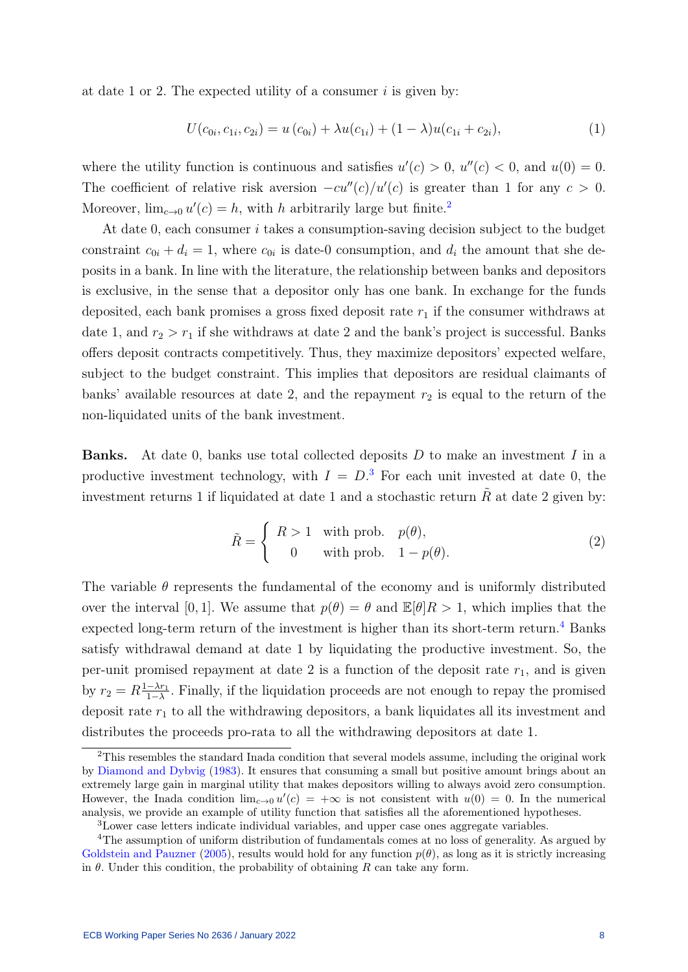at date 1 or 2. The expected utility of a consumer  $i$  is given by:

$$
U(c_{0i}, c_{1i}, c_{2i}) = u(c_{0i}) + \lambda u(c_{1i}) + (1 - \lambda)u(c_{1i} + c_{2i}),
$$
\n(1)

where the utility function is continuous and satisfies  $u'(c) > 0$ ,  $u''(c) < 0$ , and  $u(0) = 0$ . The coefficient of relative risk aversion  $-cu''(c)/u'(c)$  is greater than 1 for any  $c > 0$ . Moreover,  $\lim_{c\to 0} u'(c) = h$ , with h arbitrarily large but finite.<sup>[2](#page-8-0)</sup>

At date 0, each consumer  $i$  takes a consumption-saving decision subject to the budget constraint  $c_{0i} + d_i = 1$ , where  $c_{0i}$  is date-0 consumption, and  $d_i$  the amount that she deposits in a bank. In line with the literature, the relationship between banks and depositors is exclusive, in the sense that a depositor only has one bank. In exchange for the funds deposited, each bank promises a gross fixed deposit rate  $r_1$  if the consumer withdraws at date 1, and  $r_2 > r_1$  if she withdraws at date 2 and the bank's project is successful. Banks offers deposit contracts competitively. Thus, they maximize depositors' expected welfare, subject to the budget constraint. This implies that depositors are residual claimants of banks' available resources at date 2, and the repayment  $r_2$  is equal to the return of the non-liquidated units of the bank investment.

**Banks.** At date 0, banks use total collected deposits  $D$  to make an investment  $I$  in a productive investment technology, with  $I = D$ <sup>[3](#page-8-1)</sup> For each unit invested at date 0, the investment returns 1 if liquidated at date 1 and a stochastic return  $\tilde{R}$  at date 2 given by:

$$
\tilde{R} = \begin{cases}\nR > 1 \quad \text{with prob.} \quad p(\theta), \\
0 & \text{with prob.} \quad 1 - p(\theta).\n\end{cases} \tag{2}
$$

The variable  $\theta$  represents the fundamental of the economy and is uniformly distributed over the interval [0, 1]. We assume that  $p(\theta) = \theta$  and  $\mathbb{E}[\theta]R > 1$ , which implies that the expected long-term return of the investment is higher than its short-term return.<sup>[4](#page-8-2)</sup> Banks satisfy withdrawal demand at date 1 by liquidating the productive investment. So, the per-unit promised repayment at date 2 is a function of the deposit rate  $r_1$ , and is given by  $r_2 = R \frac{1-\lambda r_1}{1-\lambda}$  $\frac{-\lambda r_1}{1-\lambda}$ . Finally, if the liquidation proceeds are not enough to repay the promised deposit rate  $r_1$  to all the withdrawing depositors, a bank liquidates all its investment and distributes the proceeds pro-rata to all the withdrawing depositors at date 1.

<span id="page-8-0"></span><sup>&</sup>lt;sup>2</sup>This resembles the standard Inada condition that several models assume, including the original work by [Diamond and Dybvig](#page-30-0) [\(1983\)](#page-30-0). It ensures that consuming a small but positive amount brings about an extremely large gain in marginal utility that makes depositors willing to always avoid zero consumption. However, the Inada condition  $\lim_{c\to 0} u'(c) = +\infty$  is not consistent with  $u(0) = 0$ . In the numerical analysis, we provide an example of utility function that satisfies all the aforementioned hypotheses.

<span id="page-8-2"></span><span id="page-8-1"></span><sup>3</sup>Lower case letters indicate individual variables, and upper case ones aggregate variables.

<sup>&</sup>lt;sup>4</sup>The assumption of uniform distribution of fundamentals comes at no loss of generality. As argued by [Goldstein and Pauzner](#page-30-1) [\(2005\)](#page-30-1), results would hold for any function  $p(\theta)$ , as long as it is strictly increasing in  $\theta$ . Under this condition, the probability of obtaining R can take any form.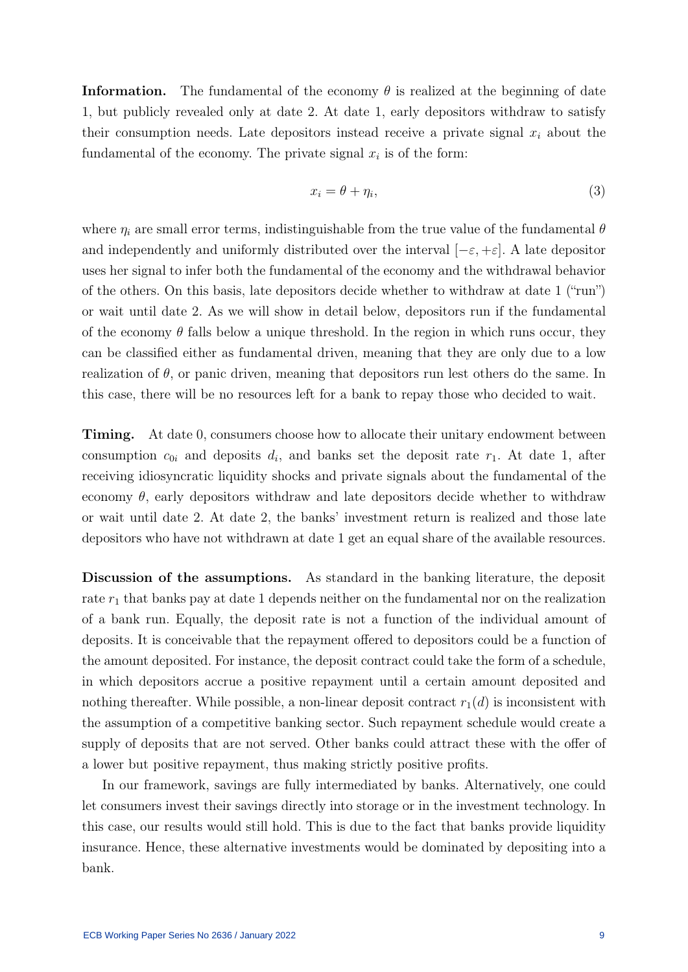**Information.** The fundamental of the economy  $\theta$  is realized at the beginning of date 1, but publicly revealed only at date 2. At date 1, early depositors withdraw to satisfy their consumption needs. Late depositors instead receive a private signal  $x_i$  about the fundamental of the economy. The private signal  $x_i$  is of the form:

$$
x_i = \theta + \eta_i,\tag{3}
$$

where  $\eta_i$  are small error terms, indistinguishable from the true value of the fundamental  $\theta$ and independently and uniformly distributed over the interval  $[-\varepsilon, +\varepsilon]$ . A late depositor uses her signal to infer both the fundamental of the economy and the withdrawal behavior of the others. On this basis, late depositors decide whether to withdraw at date 1 ("run") or wait until date 2. As we will show in detail below, depositors run if the fundamental of the economy  $\theta$  falls below a unique threshold. In the region in which runs occur, they can be classified either as fundamental driven, meaning that they are only due to a low realization of  $\theta$ , or panic driven, meaning that depositors run lest others do the same. In this case, there will be no resources left for a bank to repay those who decided to wait.

Timing. At date 0, consumers choose how to allocate their unitary endowment between consumption  $c_{0i}$  and deposits  $d_i$ , and banks set the deposit rate  $r_1$ . At date 1, after receiving idiosyncratic liquidity shocks and private signals about the fundamental of the economy  $\theta$ , early depositors withdraw and late depositors decide whether to withdraw or wait until date 2. At date 2, the banks' investment return is realized and those late depositors who have not withdrawn at date 1 get an equal share of the available resources.

Discussion of the assumptions. As standard in the banking literature, the deposit rate  $r_1$  that banks pay at date 1 depends neither on the fundamental nor on the realization of a bank run. Equally, the deposit rate is not a function of the individual amount of deposits. It is conceivable that the repayment offered to depositors could be a function of the amount deposited. For instance, the deposit contract could take the form of a schedule, in which depositors accrue a positive repayment until a certain amount deposited and nothing thereafter. While possible, a non-linear deposit contract  $r_1(d)$  is inconsistent with the assumption of a competitive banking sector. Such repayment schedule would create a supply of deposits that are not served. Other banks could attract these with the offer of a lower but positive repayment, thus making strictly positive profits.

In our framework, savings are fully intermediated by banks. Alternatively, one could let consumers invest their savings directly into storage or in the investment technology. In this case, our results would still hold. This is due to the fact that banks provide liquidity insurance. Hence, these alternative investments would be dominated by depositing into a bank.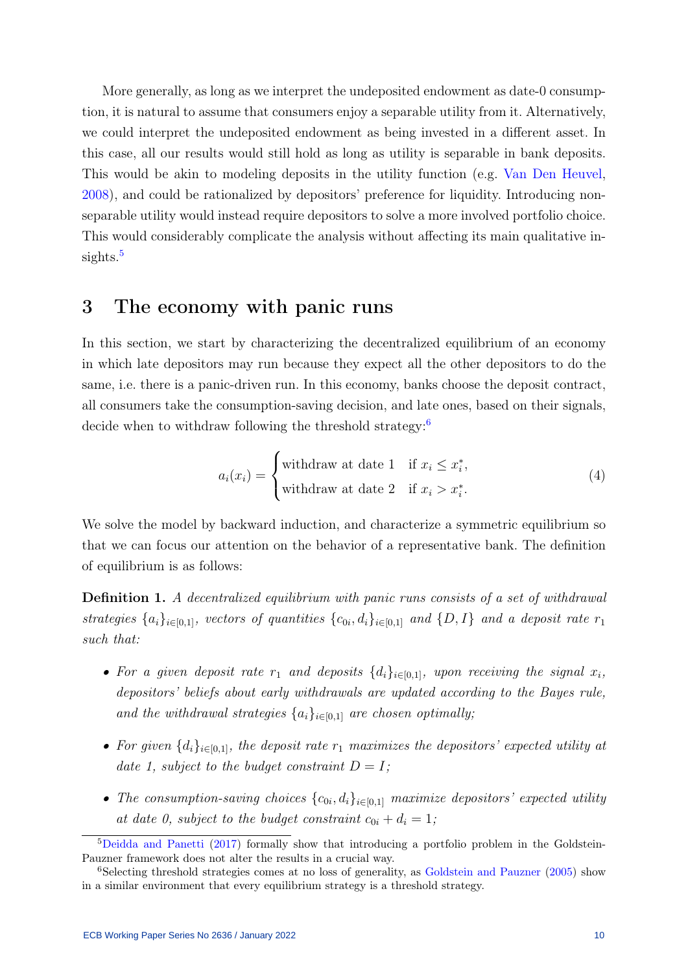More generally, as long as we interpret the undeposited endowment as date-0 consumption, it is natural to assume that consumers enjoy a separable utility from it. Alternatively, we could interpret the undeposited endowment as being invested in a different asset. In this case, all our results would still hold as long as utility is separable in bank deposits. This would be akin to modeling deposits in the utility function (e.g. [Van Den Heuvel,](#page-31-10) [2008\)](#page-31-10), and could be rationalized by depositors' preference for liquidity. Introducing nonseparable utility would instead require depositors to solve a more involved portfolio choice. This would considerably complicate the analysis without affecting its main qualitative in-sights.<sup>[5](#page-10-1)</sup>

## <span id="page-10-0"></span>3 The economy with panic runs

In this section, we start by characterizing the decentralized equilibrium of an economy in which late depositors may run because they expect all the other depositors to do the same, i.e. there is a panic-driven run. In this economy, banks choose the deposit contract, all consumers take the consumption-saving decision, and late ones, based on their signals, decide when to withdraw following the threshold strategy:<sup>[6](#page-10-2)</sup>

$$
a_i(x_i) = \begin{cases} \text{withdraw at date 1} & \text{if } x_i \le x_i^*, \\ \text{withdraw at date 2} & \text{if } x_i > x_i^*. \end{cases} \tag{4}
$$

We solve the model by backward induction, and characterize a symmetric equilibrium so that we can focus our attention on the behavior of a representative bank. The definition of equilibrium is as follows:

Definition 1. A decentralized equilibrium with panic runs consists of a set of withdrawal strategies  $\{a_i\}_{i\in[0,1]}$ , vectors of quantities  $\{c_{0i}, d_i\}_{i\in[0,1]}$  and  $\{D, I\}$  and a deposit rate  $r_1$ such that:

- For a given deposit rate  $r_1$  and deposits  $\{d_i\}_{i\in[0,1]}$ , upon receiving the signal  $x_i$ , depositors' beliefs about early withdrawals are updated according to the Bayes rule, and the withdrawal strategies  $\{a_i\}_{i\in[0,1]}$  are chosen optimally;
- For given  $\{d_i\}_{i\in[0,1]}$ , the deposit rate  $r_1$  maximizes the depositors' expected utility at date 1, subject to the budget constraint  $D = I$ ;
- The consumption-saving choices  ${c_{0i}, d_i}_{i \in [0,1]}$  maximize depositors' expected utility at date 0, subject to the budget constraint  $c_{0i} + d_i = 1$ ;

<span id="page-10-1"></span><sup>5</sup>[Deidda and Panetti](#page-30-13) [\(2017\)](#page-30-13) formally show that introducing a portfolio problem in the Goldstein-Pauzner framework does not alter the results in a crucial way.

<span id="page-10-2"></span><sup>6</sup>Selecting threshold strategies comes at no loss of generality, as [Goldstein and Pauzner](#page-30-1) [\(2005\)](#page-30-1) show in a similar environment that every equilibrium strategy is a threshold strategy.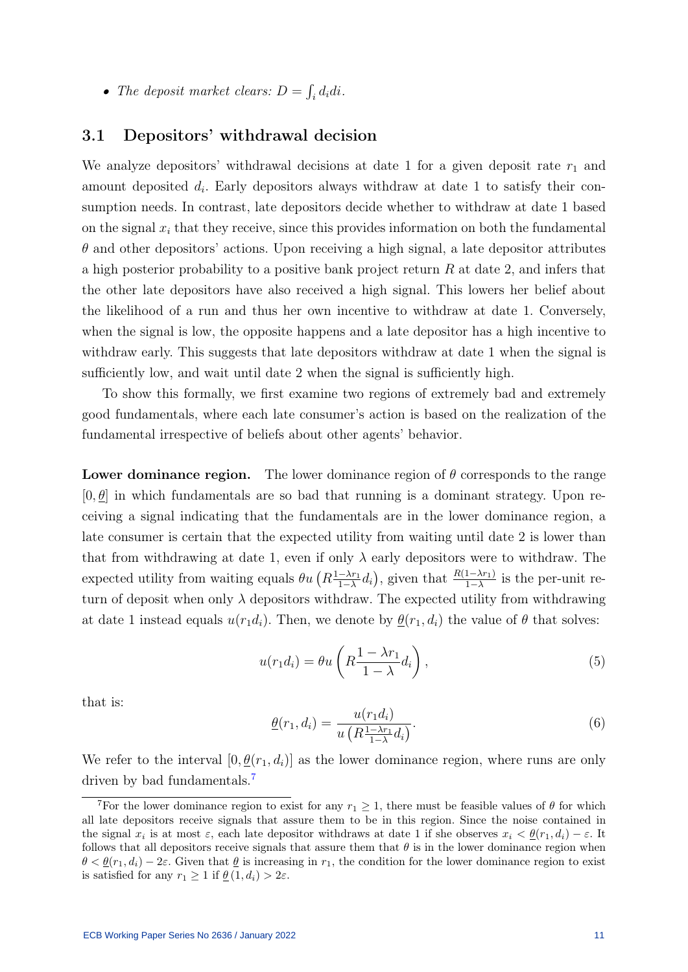• The deposit market clears:  $D = \int_i d_i di$ .

#### <span id="page-11-2"></span>3.1 Depositors' withdrawal decision

We analyze depositors' withdrawal decisions at date 1 for a given deposit rate  $r_1$  and amount deposited  $d_i$ . Early depositors always withdraw at date 1 to satisfy their consumption needs. In contrast, late depositors decide whether to withdraw at date 1 based on the signal  $x_i$  that they receive, since this provides information on both the fundamental  $\theta$  and other depositors' actions. Upon receiving a high signal, a late depositor attributes a high posterior probability to a positive bank project return R at date 2, and infers that the other late depositors have also received a high signal. This lowers her belief about the likelihood of a run and thus her own incentive to withdraw at date 1. Conversely, when the signal is low, the opposite happens and a late depositor has a high incentive to withdraw early. This suggests that late depositors withdraw at date 1 when the signal is sufficiently low, and wait until date 2 when the signal is sufficiently high.

To show this formally, we first examine two regions of extremely bad and extremely good fundamentals, where each late consumer's action is based on the realization of the fundamental irrespective of beliefs about other agents' behavior.

**Lower dominance region.** The lower dominance region of  $\theta$  corresponds to the range  $[0, \underline{\theta}]$  in which fundamentals are so bad that running is a dominant strategy. Upon receiving a signal indicating that the fundamentals are in the lower dominance region, a late consumer is certain that the expected utility from waiting until date 2 is lower than that from withdrawing at date 1, even if only  $\lambda$  early depositors were to withdraw. The expected utility from waiting equals  $\theta u (R_{1-\lambda}^{1-\lambda r_1})$  $\frac{-\lambda r_1}{1-\lambda}d_i$ , given that  $\frac{R(1-\lambda r_1)}{1-\lambda}$  is the per-unit return of deposit when only  $\lambda$  depositors withdraw. The expected utility from withdrawing at date 1 instead equals  $u(r_1d_i)$ . Then, we denote by  $\theta(r_1, d_i)$  the value of  $\theta$  that solves:

$$
u(r_1 d_i) = \theta u \left( R \frac{1 - \lambda r_1}{1 - \lambda} d_i \right),\tag{5}
$$

that is:

<span id="page-11-1"></span>
$$
\underline{\theta}(r_1, d_i) = \frac{u(r_1 d_i)}{u\left(R\frac{1-\lambda r_1}{1-\lambda}d_i\right)}.\tag{6}
$$

We refer to the interval  $[0, \underline{\theta}(r_1, d_i)]$  as the lower dominance region, where runs are only driven by bad fundamentals.<sup>[7](#page-11-0)</sup>

<span id="page-11-0"></span><sup>&</sup>lt;sup>7</sup>For the lower dominance region to exist for any  $r_1 \geq 1$ , there must be feasible values of  $\theta$  for which all late depositors receive signals that assure them to be in this region. Since the noise contained in the signal  $x_i$  is at most  $\varepsilon$ , each late depositor withdraws at date 1 if she observes  $x_i < \underline{\theta}(r_1, d_i) - \varepsilon$ . It follows that all depositors receive signals that assure them that  $\theta$  is in the lower dominance region when  $\theta < \underline{\theta}(r_1, d_i) - 2\varepsilon$ . Given that  $\underline{\theta}$  is increasing in  $r_1$ , the condition for the lower dominance region to exist is satisfied for any  $r_1 \geq 1$  if  $\underline{\theta}(1, d_i) > 2\varepsilon$ .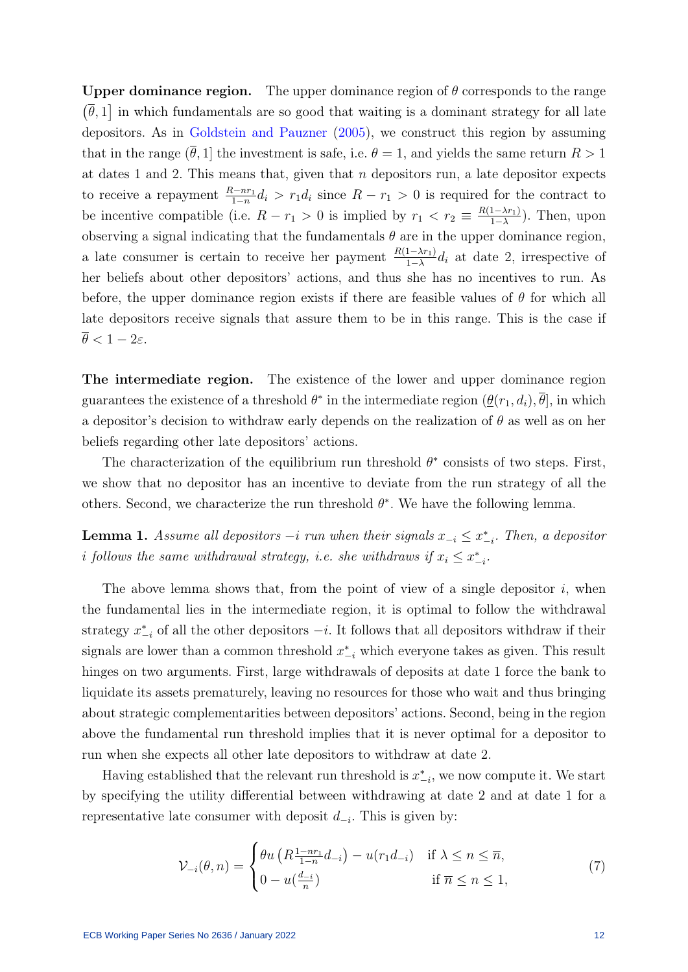Upper dominance region. The upper dominance region of  $\theta$  corresponds to the range  $(\bar{\theta}, 1]$  in which fundamentals are so good that waiting is a dominant strategy for all late depositors. As in [Goldstein and Pauzner](#page-30-1) [\(2005\)](#page-30-1), we construct this region by assuming that in the range  $(\theta, 1]$  the investment is safe, i.e.  $\theta = 1$ , and yields the same return  $R > 1$ at dates 1 and 2. This means that, given that  $n$  depositors run, a late depositor expects to receive a repayment  $\frac{R-nr_1}{1-n}d_i > r_1d_i$  since  $R-r_1 > 0$  is required for the contract to be incentive compatible (i.e.  $R - r_1 > 0$  is implied by  $r_1 < r_2 \equiv \frac{R(1-\lambda r_1)}{1-\lambda}$  $\frac{1-\lambda r_1}{1-\lambda}$ ). Then, upon observing a signal indicating that the fundamentals  $\theta$  are in the upper dominance region, a late consumer is certain to receive her payment  $\frac{R(1-\lambda r_1)}{1-\lambda}d_i$  at date 2, irrespective of her beliefs about other depositors' actions, and thus she has no incentives to run. As before, the upper dominance region exists if there are feasible values of  $\theta$  for which all late depositors receive signals that assure them to be in this range. This is the case if  $\overline{\theta} < 1 - 2\varepsilon$ .

The intermediate region. The existence of the lower and upper dominance region guarantees the existence of a threshold  $\theta^*$  in the intermediate region  $(\underline{\theta}(r_1, d_i), \overline{\theta}]$ , in which a depositor's decision to withdraw early depends on the realization of  $\theta$  as well as on her beliefs regarding other late depositors' actions.

The characterization of the equilibrium run threshold  $\theta^*$  consists of two steps. First, we show that no depositor has an incentive to deviate from the run strategy of all the others. Second, we characterize the run threshold  $\theta^*$ . We have the following lemma.

<span id="page-12-1"></span>**Lemma 1.** Assume all depositors  $-i$  run when their signals  $x_{-i} \leq x_{-i}^*$ . Then, a depositor i follows the same withdrawal strategy, i.e. she withdraws if  $x_i \leq x^*_{-i}$ .

The above lemma shows that, from the point of view of a single depositor  $i$ , when the fundamental lies in the intermediate region, it is optimal to follow the withdrawal strategy  $x_{-i}^*$  of all the other depositors  $-i$ . It follows that all depositors withdraw if their signals are lower than a common threshold  $x_{-i}^*$  which everyone takes as given. This result hinges on two arguments. First, large withdrawals of deposits at date 1 force the bank to liquidate its assets prematurely, leaving no resources for those who wait and thus bringing about strategic complementarities between depositors' actions. Second, being in the region above the fundamental run threshold implies that it is never optimal for a depositor to run when she expects all other late depositors to withdraw at date 2.

Having established that the relevant run threshold is  $x_{-i}^*$ , we now compute it. We start by specifying the utility differential between withdrawing at date 2 and at date 1 for a representative late consumer with deposit  $d_{-i}$ . This is given by:

<span id="page-12-0"></span>
$$
\mathcal{V}_{-i}(\theta, n) = \begin{cases} \theta u \left( R \frac{1 - n r_1}{1 - n} d_{-i} \right) - u(r_1 d_{-i}) & \text{if } \lambda \le n \le \overline{n}, \\ 0 - u(\frac{d_{-i}}{n}) & \text{if } \overline{n} \le n \le 1, \end{cases} \tag{7}
$$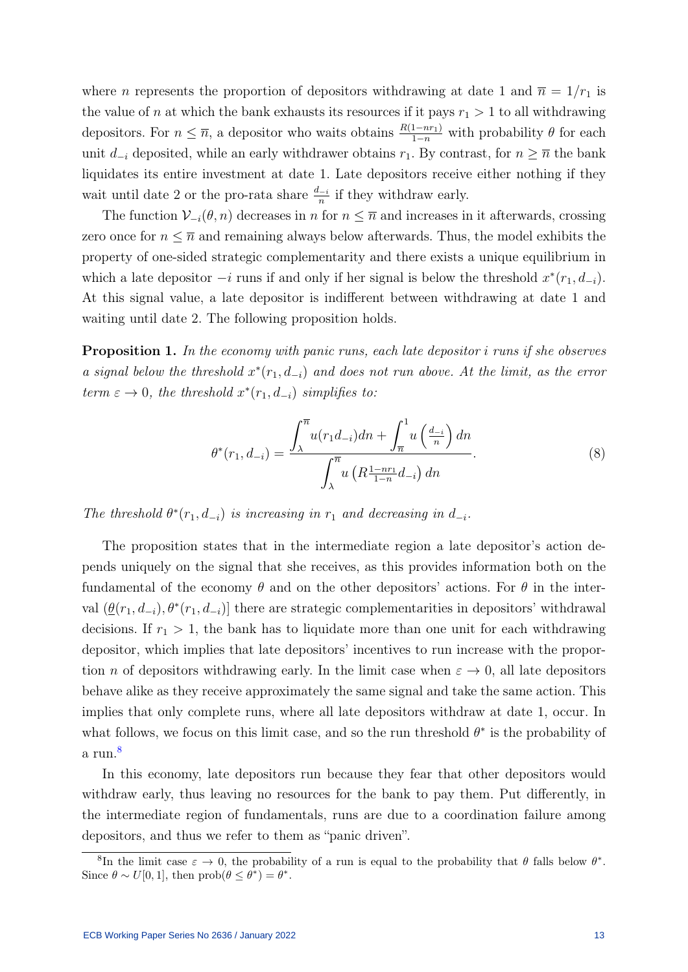where *n* represents the proportion of depositors withdrawing at date 1 and  $\bar{n} = 1/r_1$  is the value of n at which the bank exhausts its resources if it pays  $r_1 > 1$  to all withdrawing depositors. For  $n \leq \overline{n}$ , a depositor who waits obtains  $\frac{R(1-nr_1)}{1-n}$  with probability  $\theta$  for each unit  $d_{-i}$  deposited, while an early withdrawer obtains  $r_1$ . By contrast, for  $n \geq \overline{n}$  the bank liquidates its entire investment at date 1. Late depositors receive either nothing if they wait until date 2 or the pro-rata share  $\frac{d-i}{n}$  if they withdraw early.

The function  $\mathcal{V}_{-i}(\theta, n)$  decreases in n for  $n \leq \overline{n}$  and increases in it afterwards, crossing zero once for  $n \leq \overline{n}$  and remaining always below afterwards. Thus, the model exhibits the property of one-sided strategic complementarity and there exists a unique equilibrium in which a late depositor  $-i$  runs if and only if her signal is below the threshold  $x^*(r_1, d_{-i})$ . At this signal value, a late depositor is indifferent between withdrawing at date 1 and waiting until date 2. The following proposition holds.

<span id="page-13-1"></span>Proposition 1. In the economy with panic runs, each late depositor i runs if she observes a signal below the threshold  $x^*(r_1, d_{-i})$  and does not run above. At the limit, as the error term  $\varepsilon \to 0$ , the threshold  $x^*(r_1, d_{-i})$  simplifies to:

<span id="page-13-2"></span>
$$
\theta^*(r_1, d_{-i}) = \frac{\int_{\lambda}^{\overline{n}} u(r_1 d_{-i}) dn + \int_{\overline{n}}^1 u\left(\frac{d_{-i}}{n}\right) dn}{\int_{\lambda}^{\overline{n}} u\left(R \frac{1 - nr_1}{1 - n} d_{-i}\right) dn}.
$$
\n(8)

The threshold  $\theta^*(r_1, d_{-i})$  is increasing in  $r_1$  and decreasing in  $d_{-i}$ .

The proposition states that in the intermediate region a late depositor's action depends uniquely on the signal that she receives, as this provides information both on the fundamental of the economy  $\theta$  and on the other depositors' actions. For  $\theta$  in the interval  $(\underline{\theta}(r_1, d_{-i}), \theta^*(r_1, d_{-i})]$  there are strategic complementarities in depositors' withdrawal decisions. If  $r_1 > 1$ , the bank has to liquidate more than one unit for each withdrawing depositor, which implies that late depositors' incentives to run increase with the proportion *n* of depositors withdrawing early. In the limit case when  $\varepsilon \to 0$ , all late depositors behave alike as they receive approximately the same signal and take the same action. This implies that only complete runs, where all late depositors withdraw at date 1, occur. In what follows, we focus on this limit case, and so the run threshold  $\theta^*$  is the probability of a run.<sup>[8](#page-13-0)</sup>

In this economy, late depositors run because they fear that other depositors would withdraw early, thus leaving no resources for the bank to pay them. Put differently, in the intermediate region of fundamentals, runs are due to a coordination failure among depositors, and thus we refer to them as "panic driven".

<span id="page-13-0"></span><sup>&</sup>lt;sup>8</sup>In the limit case  $\varepsilon \to 0$ , the probability of a run is equal to the probability that  $\theta$  falls below  $\theta^*$ . Since  $\theta \sim U[0, 1]$ , then  $prob(\theta \leq \theta^*) = \theta^*$ .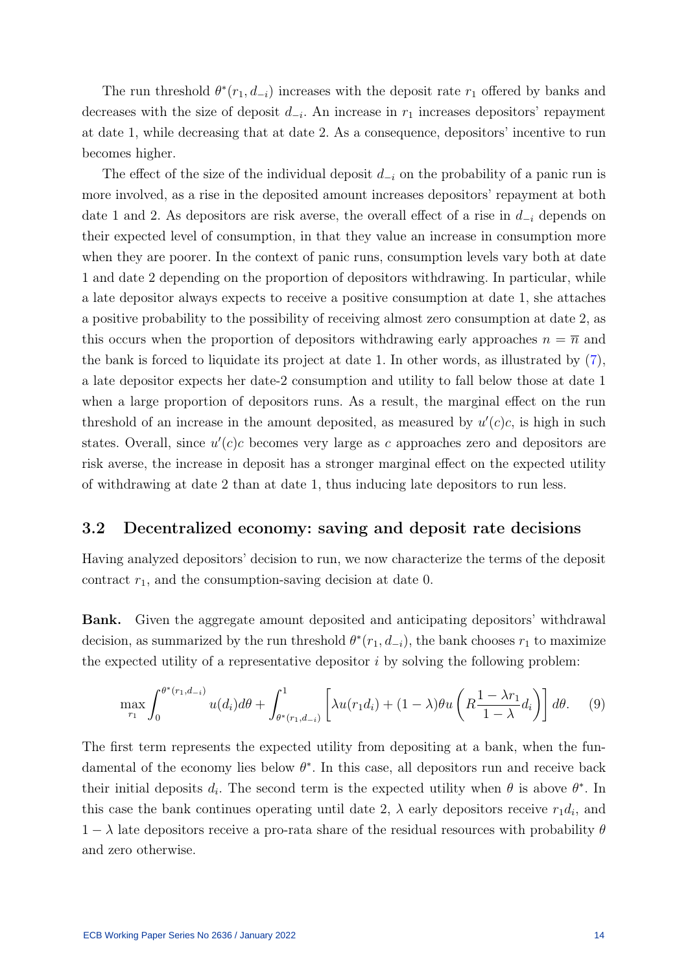The run threshold  $\theta^*(r_1, d_{-i})$  increases with the deposit rate  $r_1$  offered by banks and decreases with the size of deposit  $d_{-i}$ . An increase in  $r_1$  increases depositors' repayment at date 1, while decreasing that at date 2. As a consequence, depositors' incentive to run becomes higher.

The effect of the size of the individual deposit  $d_{-i}$  on the probability of a panic run is more involved, as a rise in the deposited amount increases depositors' repayment at both date 1 and 2. As depositors are risk averse, the overall effect of a rise in  $d_{-i}$  depends on their expected level of consumption, in that they value an increase in consumption more when they are poorer. In the context of panic runs, consumption levels vary both at date 1 and date 2 depending on the proportion of depositors withdrawing. In particular, while a late depositor always expects to receive a positive consumption at date 1, she attaches a positive probability to the possibility of receiving almost zero consumption at date 2, as this occurs when the proportion of depositors withdrawing early approaches  $n = \overline{n}$  and the bank is forced to liquidate its project at date 1. In other words, as illustrated by [\(7\)](#page-12-0), a late depositor expects her date-2 consumption and utility to fall below those at date 1 when a large proportion of depositors runs. As a result, the marginal effect on the run threshold of an increase in the amount deposited, as measured by  $u'(c)c$ , is high in such states. Overall, since  $u'(c)c$  becomes very large as c approaches zero and depositors are risk averse, the increase in deposit has a stronger marginal effect on the expected utility of withdrawing at date 2 than at date 1, thus inducing late depositors to run less.

#### <span id="page-14-0"></span>3.2 Decentralized economy: saving and deposit rate decisions

Having analyzed depositors' decision to run, we now characterize the terms of the deposit contract  $r_1$ , and the consumption-saving decision at date 0.

Bank. Given the aggregate amount deposited and anticipating depositors' withdrawal decision, as summarized by the run threshold  $\theta^*(r_1, d_{-i})$ , the bank chooses  $r_1$  to maximize the expected utility of a representative depositor  $i$  by solving the following problem:

<span id="page-14-1"></span>
$$
\max_{r_1} \int_0^{\theta^*(r_1, d_{-i})} u(d_i) d\theta + \int_{\theta^*(r_1, d_{-i})}^1 \left[ \lambda u(r_1 d_i) + (1 - \lambda) \theta u \left( R \frac{1 - \lambda r_1}{1 - \lambda} d_i \right) \right] d\theta. \tag{9}
$$

The first term represents the expected utility from depositing at a bank, when the fundamental of the economy lies below  $\theta^*$ . In this case, all depositors run and receive back their initial deposits  $d_i$ . The second term is the expected utility when  $\theta$  is above  $\theta^*$ . In this case the bank continues operating until date 2,  $\lambda$  early depositors receive  $r_1 d_i$ , and  $1 - \lambda$  late depositors receive a pro-rata share of the residual resources with probability  $\theta$ and zero otherwise.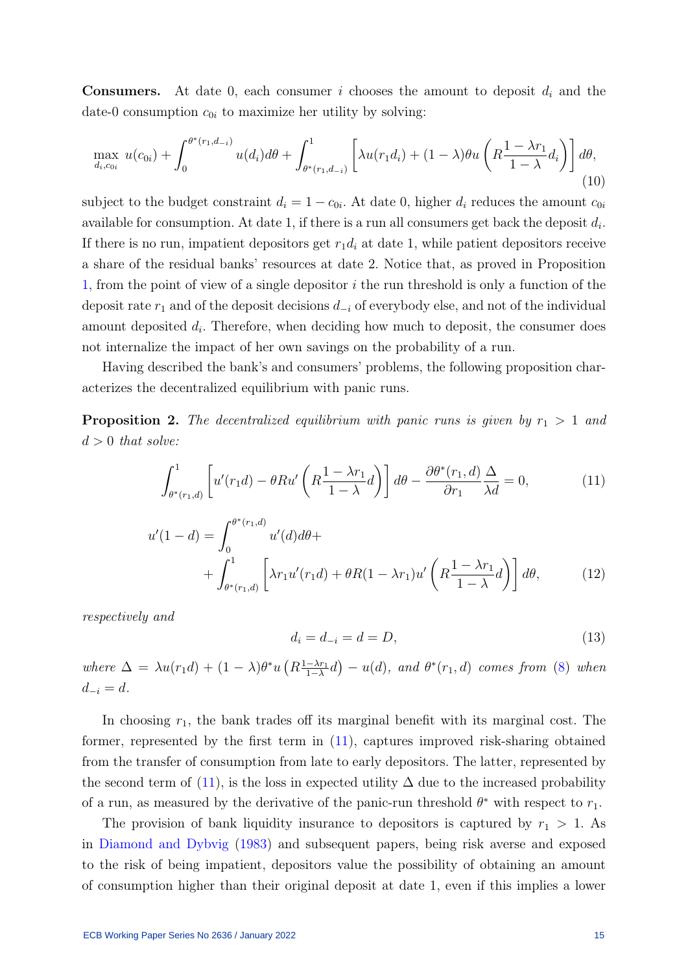**Consumers.** At date 0, each consumer i chooses the amount to deposit  $d_i$  and the date-0 consumption  $c_{0i}$  to maximize her utility by solving:

<span id="page-15-4"></span>
$$
\max_{d_i, c_{0i}} u(c_{0i}) + \int_0^{\theta^*(r_1, d_{-i})} u(d_i) d\theta + \int_{\theta^*(r_1, d_{-i})}^1 \left[ \lambda u(r_1 d_i) + (1 - \lambda) \theta u \left( R \frac{1 - \lambda r_1}{1 - \lambda} d_i \right) \right] d\theta,
$$
\n(10)

subject to the budget constraint  $d_i = 1 - c_{0i}$ . At date 0, higher  $d_i$  reduces the amount  $c_{0i}$ available for consumption. At date 1, if there is a run all consumers get back the deposit  $d_i$ . If there is no run, impatient depositors get  $r_1d_i$  at date 1, while patient depositors receive a share of the residual banks' resources at date 2. Notice that, as proved in Proposition [1,](#page-13-1) from the point of view of a single depositor  $i$  the run threshold is only a function of the deposit rate  $r_1$  and of the deposit decisions  $d_{-i}$  of everybody else, and not of the individual amount deposited  $d_i$ . Therefore, when deciding how much to deposit, the consumer does not internalize the impact of her own savings on the probability of a run.

Having described the bank's and consumers' problems, the following proposition characterizes the decentralized equilibrium with panic runs.

<span id="page-15-3"></span>**Proposition 2.** The decentralized equilibrium with panic runs is given by  $r_1 > 1$  and  $d > 0$  that solve:

<span id="page-15-0"></span>
$$
\int_{\theta^*(r_1,d)}^1 \left[ u'(r_1 d) - \theta R u' \left( R \frac{1 - \lambda r_1}{1 - \lambda} d \right) \right] d\theta - \frac{\partial \theta^*(r_1, d)}{\partial r_1} \frac{\Delta}{\lambda d} = 0, \tag{11}
$$

$$
u'(1-d) = \int_0^{\theta^*(r_1,d)} u'(d)d\theta + \int_{\theta^*(r_1,d)}^1 \left[ \lambda r_1 u'(r_1 d) + \theta R(1-\lambda r_1) u'\left(R\frac{1-\lambda r_1}{1-\lambda}d\right) \right] d\theta, \tag{12}
$$

respectively and

<span id="page-15-2"></span><span id="page-15-1"></span>
$$
d_i = d_{-i} = d = D,\t\t(13)
$$

where  $\Delta = \lambda u(r_1 d) + (1 - \lambda)\theta^* u \left(R \frac{1 - \lambda r_1}{1 - \lambda}\right)$  $\frac{-\lambda r_1}{1-\lambda}d$  –  $u(d)$ , and  $\theta^*(r_1,d)$  comes from [\(8\)](#page-13-2) when  $d_{-i} = d$ .

In choosing  $r_1$ , the bank trades off its marginal benefit with its marginal cost. The former, represented by the first term in [\(11\)](#page-15-0), captures improved risk-sharing obtained from the transfer of consumption from late to early depositors. The latter, represented by the second term of [\(11\)](#page-15-0), is the loss in expected utility  $\Delta$  due to the increased probability of a run, as measured by the derivative of the panic-run threshold  $\theta^*$  with respect to  $r_1$ .

The provision of bank liquidity insurance to depositors is captured by  $r_1 > 1$ . As in [Diamond and Dybvig](#page-30-0) [\(1983\)](#page-30-0) and subsequent papers, being risk averse and exposed to the risk of being impatient, depositors value the possibility of obtaining an amount of consumption higher than their original deposit at date 1, even if this implies a lower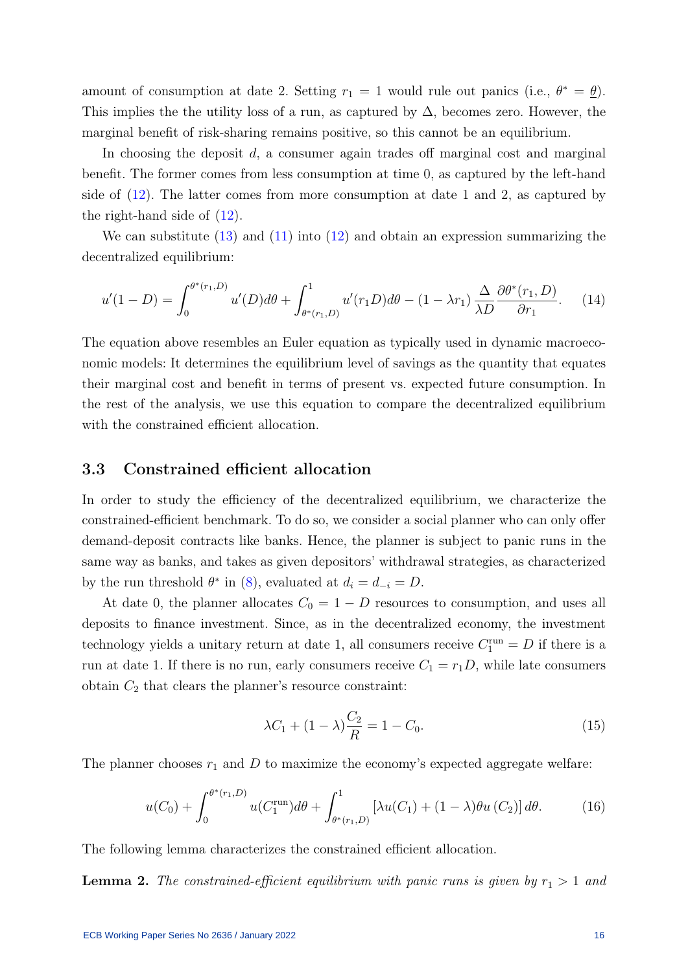amount of consumption at date 2. Setting  $r_1 = 1$  would rule out panics (i.e.,  $\theta^* = \underline{\theta}$ ). This implies the the utility loss of a run, as captured by  $\Delta$ , becomes zero. However, the marginal benefit of risk-sharing remains positive, so this cannot be an equilibrium.

In choosing the deposit d, a consumer again trades off marginal cost and marginal benefit. The former comes from less consumption at time 0, as captured by the left-hand side of [\(12\)](#page-15-1). The latter comes from more consumption at date 1 and 2, as captured by the right-hand side of [\(12\)](#page-15-1).

We can substitute  $(13)$  and  $(11)$  into  $(12)$  and obtain an expression summarizing the decentralized equilibrium:

<span id="page-16-0"></span>
$$
u'(1-D) = \int_0^{\theta^*(r_1,D)} u'(D)d\theta + \int_{\theta^*(r_1,D)}^1 u'(r_1D)d\theta - (1-\lambda r_1) \frac{\Delta}{\lambda D} \frac{\partial \theta^*(r_1,D)}{\partial r_1}.
$$
 (14)

The equation above resembles an Euler equation as typically used in dynamic macroeconomic models: It determines the equilibrium level of savings as the quantity that equates their marginal cost and benefit in terms of present vs. expected future consumption. In the rest of the analysis, we use this equation to compare the decentralized equilibrium with the constrained efficient allocation.

### <span id="page-16-2"></span>3.3 Constrained efficient allocation

In order to study the efficiency of the decentralized equilibrium, we characterize the constrained-efficient benchmark. To do so, we consider a social planner who can only offer demand-deposit contracts like banks. Hence, the planner is subject to panic runs in the same way as banks, and takes as given depositors' withdrawal strategies, as characterized by the run threshold  $\theta^*$  in [\(8\)](#page-13-2), evaluated at  $d_i = d_{-i} = D$ .

At date 0, the planner allocates  $C_0 = 1 - D$  resources to consumption, and uses all deposits to finance investment. Since, as in the decentralized economy, the investment technology yields a unitary return at date 1, all consumers receive  $C_1^{\text{run}} = D$  if there is a run at date 1. If there is no run, early consumers receive  $C_1 = r_1D$ , while late consumers obtain  $C_2$  that clears the planner's resource constraint:

$$
\lambda C_1 + (1 - \lambda) \frac{C_2}{R} = 1 - C_0. \tag{15}
$$

The planner chooses  $r_1$  and D to maximize the economy's expected aggregate welfare:

<span id="page-16-1"></span>
$$
u(C_0) + \int_0^{\theta^*(r_1, D)} u(C_1^{\text{run}}) d\theta + \int_{\theta^*(r_1, D)}^1 \left[ \lambda u(C_1) + (1 - \lambda) \theta u(C_2) \right] d\theta. \tag{16}
$$

The following lemma characterizes the constrained efficient allocation.

<span id="page-16-3"></span>**Lemma 2.** The constrained-efficient equilibrium with panic runs is given by  $r_1 > 1$  and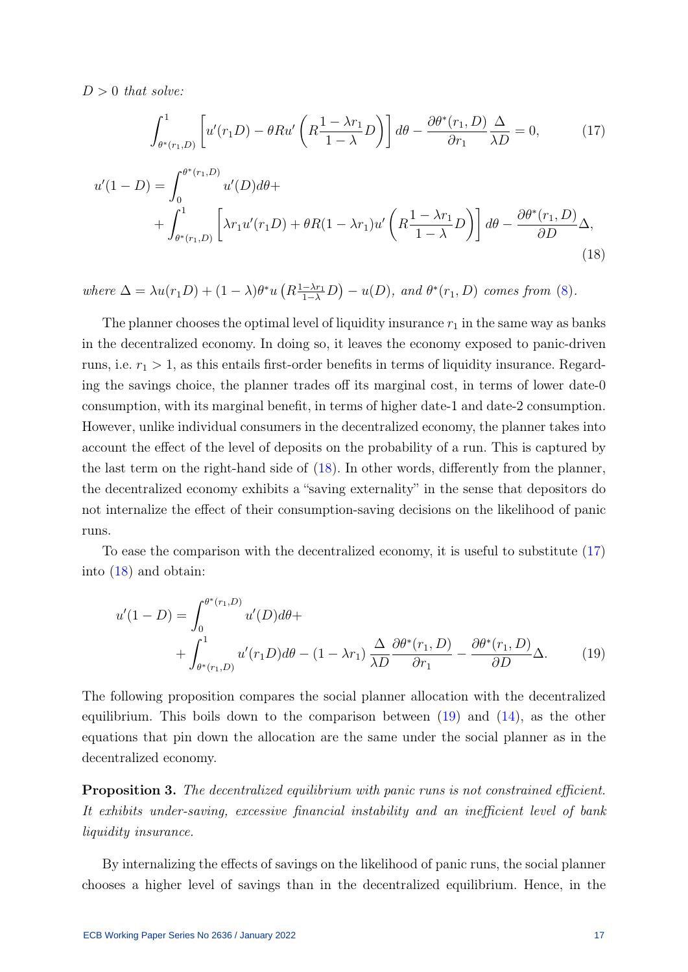$D > 0$  that solve:

<span id="page-17-1"></span><span id="page-17-0"></span>
$$
\int_{\theta^*(r_1,D)}^1 \left[ u'(r_1D) - \theta R u' \left( R \frac{1 - \lambda r_1}{1 - \lambda} D \right) \right] d\theta - \frac{\partial \theta^*(r_1,D)}{\partial r_1} \frac{\Delta}{\lambda D} = 0, \tag{17}
$$

$$
u'(1-D) = \int_0^{\theta^*(r_1,D)} u'(D)d\theta + \int_{\theta^*(r_1,D)}^1 \left[ \lambda r_1 u'(r_1D) + \theta R(1-\lambda r_1)u'\left(R\frac{1-\lambda r_1}{1-\lambda}D\right) \right] d\theta - \frac{\partial \theta^*(r_1,D)}{\partial D} \Delta,
$$
\n(18)

where  $\Delta = \lambda u(r_1D) + (1-\lambda)\theta^*u(R_{\frac{1-\lambda r_1}{1-\lambda}}D) - u(D)$ , and  $\theta^*(r_1, D)$  comes from [\(8\)](#page-13-2).

The planner chooses the optimal level of liquidity insurance  $r_1$  in the same way as banks in the decentralized economy. In doing so, it leaves the economy exposed to panic-driven runs, i.e.  $r_1 > 1$ , as this entails first-order benefits in terms of liquidity insurance. Regarding the savings choice, the planner trades off its marginal cost, in terms of lower date-0 consumption, with its marginal benefit, in terms of higher date-1 and date-2 consumption. However, unlike individual consumers in the decentralized economy, the planner takes into account the effect of the level of deposits on the probability of a run. This is captured by the last term on the right-hand side of [\(18\)](#page-17-0). In other words, differently from the planner, the decentralized economy exhibits a "saving externality" in the sense that depositors do not internalize the effect of their consumption-saving decisions on the likelihood of panic runs.

To ease the comparison with the decentralized economy, it is useful to substitute [\(17\)](#page-17-1) into [\(18\)](#page-17-0) and obtain:

<span id="page-17-2"></span>
$$
u'(1 - D) = \int_0^{\theta^*(r_1, D)} u'(D) d\theta +
$$
  
+ 
$$
\int_{\theta^*(r_1, D)}^1 u'(r_1 D) d\theta - (1 - \lambda r_1) \frac{\Delta}{\lambda D} \frac{\partial \theta^*(r_1, D)}{\partial r_1} - \frac{\partial \theta^*(r_1, D)}{\partial D} \Delta.
$$
 (19)

The following proposition compares the social planner allocation with the decentralized equilibrium. This boils down to the comparison between  $(19)$  and  $(14)$ , as the other equations that pin down the allocation are the same under the social planner as in the decentralized economy.

<span id="page-17-3"></span>Proposition 3. The decentralized equilibrium with panic runs is not constrained efficient. It exhibits under-saving, excessive financial instability and an inefficient level of bank liquidity insurance.

By internalizing the effects of savings on the likelihood of panic runs, the social planner chooses a higher level of savings than in the decentralized equilibrium. Hence, in the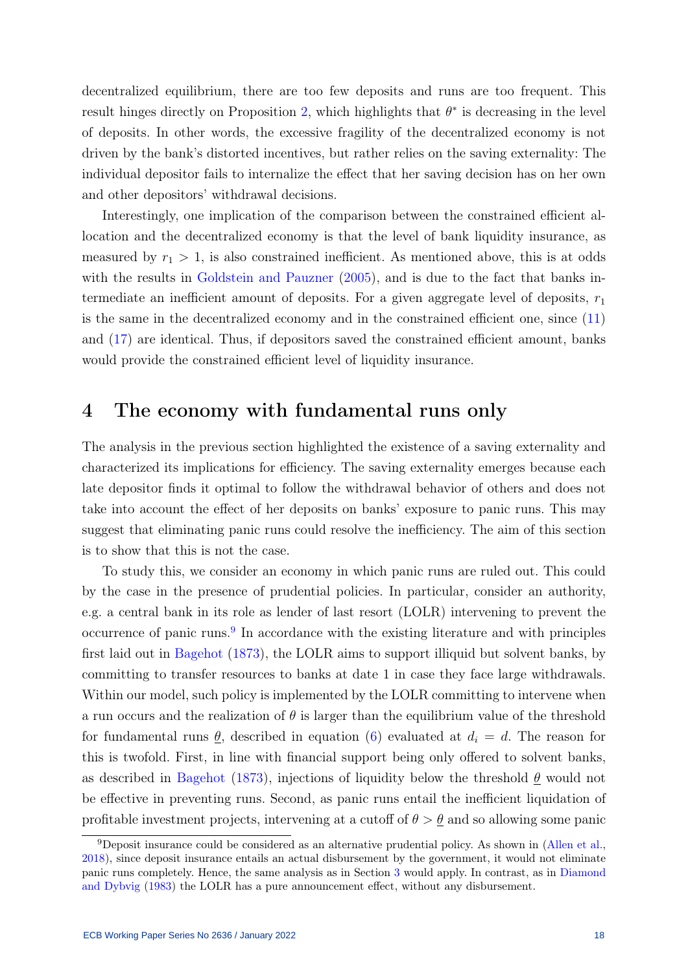decentralized equilibrium, there are too few deposits and runs are too frequent. This result hinges directly on Proposition [2,](#page-15-3) which highlights that  $\theta^*$  is decreasing in the level of deposits. In other words, the excessive fragility of the decentralized economy is not driven by the bank's distorted incentives, but rather relies on the saving externality: The individual depositor fails to internalize the effect that her saving decision has on her own and other depositors' withdrawal decisions.

Interestingly, one implication of the comparison between the constrained efficient allocation and the decentralized economy is that the level of bank liquidity insurance, as measured by  $r_1 > 1$ , is also constrained inefficient. As mentioned above, this is at odds with the results in [Goldstein and Pauzner](#page-30-1) [\(2005\)](#page-30-1), and is due to the fact that banks intermediate an inefficient amount of deposits. For a given aggregate level of deposits,  $r_1$ is the same in the decentralized economy and in the constrained efficient one, since [\(11\)](#page-15-0) and [\(17\)](#page-17-1) are identical. Thus, if depositors saved the constrained efficient amount, banks would provide the constrained efficient level of liquidity insurance.

## <span id="page-18-0"></span>4 The economy with fundamental runs only

The analysis in the previous section highlighted the existence of a saving externality and characterized its implications for efficiency. The saving externality emerges because each late depositor finds it optimal to follow the withdrawal behavior of others and does not take into account the effect of her deposits on banks' exposure to panic runs. This may suggest that eliminating panic runs could resolve the inefficiency. The aim of this section is to show that this is not the case.

To study this, we consider an economy in which panic runs are ruled out. This could by the case in the presence of prudential policies. In particular, consider an authority, e.g. a central bank in its role as lender of last resort (LOLR) intervening to prevent the occurrence of panic runs.<sup>[9](#page-18-1)</sup> In accordance with the existing literature and with principles first laid out in [Bagehot](#page-29-13) [\(1873\)](#page-29-13), the LOLR aims to support illiquid but solvent banks, by committing to transfer resources to banks at date 1 in case they face large withdrawals. Within our model, such policy is implemented by the LOLR committing to intervene when a run occurs and the realization of  $\theta$  is larger than the equilibrium value of the threshold for fundamental runs  $\theta$ , described in equation [\(6\)](#page-11-1) evaluated at  $d_i = d$ . The reason for this is twofold. First, in line with financial support being only offered to solvent banks, as described in [Bagehot](#page-29-13) [\(1873\)](#page-29-13), injections of liquidity below the threshold  $\theta$  would not be effective in preventing runs. Second, as panic runs entail the inefficient liquidation of profitable investment projects, intervening at a cutoff of  $\theta > \theta$  and so allowing some panic

<span id="page-18-1"></span> $9D$ eposit insurance could be considered as an alternative prudential policy. As shown in [\(Allen et al.,](#page-29-5) [2018\)](#page-29-5), since deposit insurance entails an actual disbursement by the government, it would not eliminate panic runs completely. Hence, the same analysis as in Section [3](#page-10-0) would apply. In contrast, as in [Diamond](#page-30-0) [and Dybvig](#page-30-0) [\(1983\)](#page-30-0) the LOLR has a pure announcement effect, without any disbursement.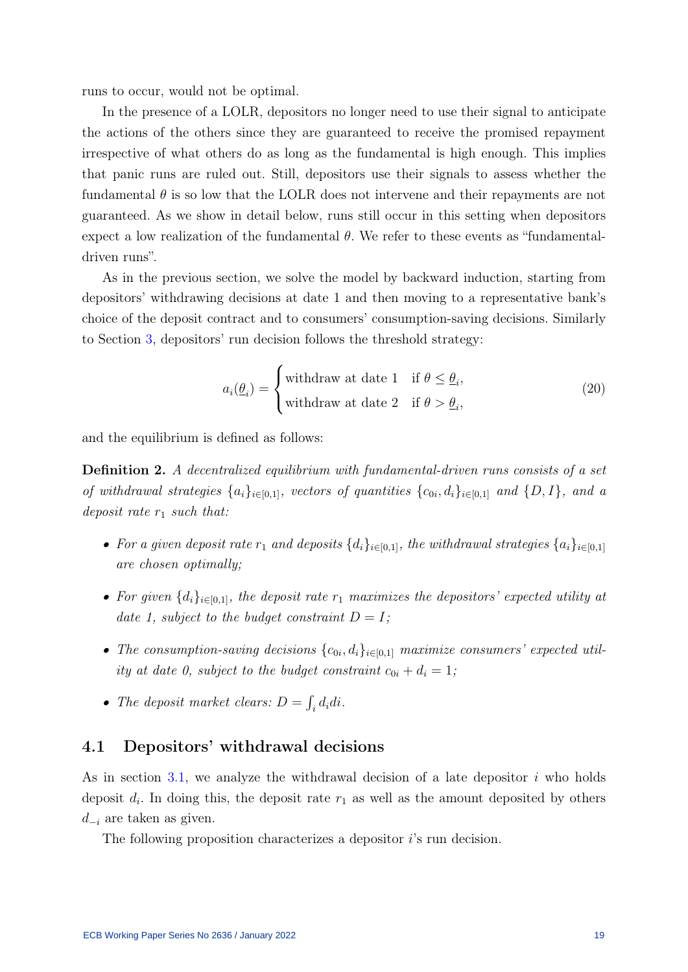runs to occur, would not be optimal.

In the presence of a LOLR, depositors no longer need to use their signal to anticipate the actions of the others since they are guaranteed to receive the promised repayment irrespective of what others do as long as the fundamental is high enough. This implies that panic runs are ruled out. Still, depositors use their signals to assess whether the fundamental  $\theta$  is so low that the LOLR does not intervene and their repayments are not guaranteed. As we show in detail below, runs still occur in this setting when depositors expect a low realization of the fundamental  $\theta$ . We refer to these events as "fundamentaldriven runs".

As in the previous section, we solve the model by backward induction, starting from depositors' withdrawing decisions at date 1 and then moving to a representative bank's choice of the deposit contract and to consumers' consumption-saving decisions. Similarly to Section [3,](#page-10-0) depositors' run decision follows the threshold strategy:

$$
a_i(\underline{\theta}_i) = \begin{cases} \text{withdraw at date 1} & \text{if } \theta \le \underline{\theta}_i, \\ \text{withdraw at date 2} & \text{if } \theta > \underline{\theta}_i, \end{cases} \tag{20}
$$

and the equilibrium is defined as follows:

Definition 2. A decentralized equilibrium with fundamental-driven runs consists of a set of withdrawal strategies  $\{a_i\}_{i\in[0,1]}$ , vectors of quantities  $\{c_{0i}, d_i\}_{i\in[0,1]}$  and  $\{D, I\}$ , and a deposit rate  $r_1$  such that:

- For a given deposit rate  $r_1$  and deposits  $\{d_i\}_{i\in[0,1]}$ , the withdrawal strategies  $\{a_i\}_{i\in[0,1]}$ are chosen optimally;
- For given  $\{d_i\}_{i\in[0,1]}$ , the deposit rate  $r_1$  maximizes the depositors' expected utility at date 1, subject to the budget constraint  $D = I$ ;
- The consumption-saving decisions  ${c_{0i}, d_i}_{i \in [0,1]}$  maximize consumers' expected utility at date 0, subject to the budget constraint  $c_{0i} + d_i = 1$ ;
- The deposit market clears:  $D = \int_i d_i di$ .

#### 4.1 Depositors' withdrawal decisions

As in section [3.1,](#page-11-2) we analyze the withdrawal decision of a late depositor  $i$  who holds deposit  $d_i$ . In doing this, the deposit rate  $r_1$  as well as the amount deposited by others  $d_{-i}$  are taken as given.

The following proposition characterizes a depositor *i*'s run decision.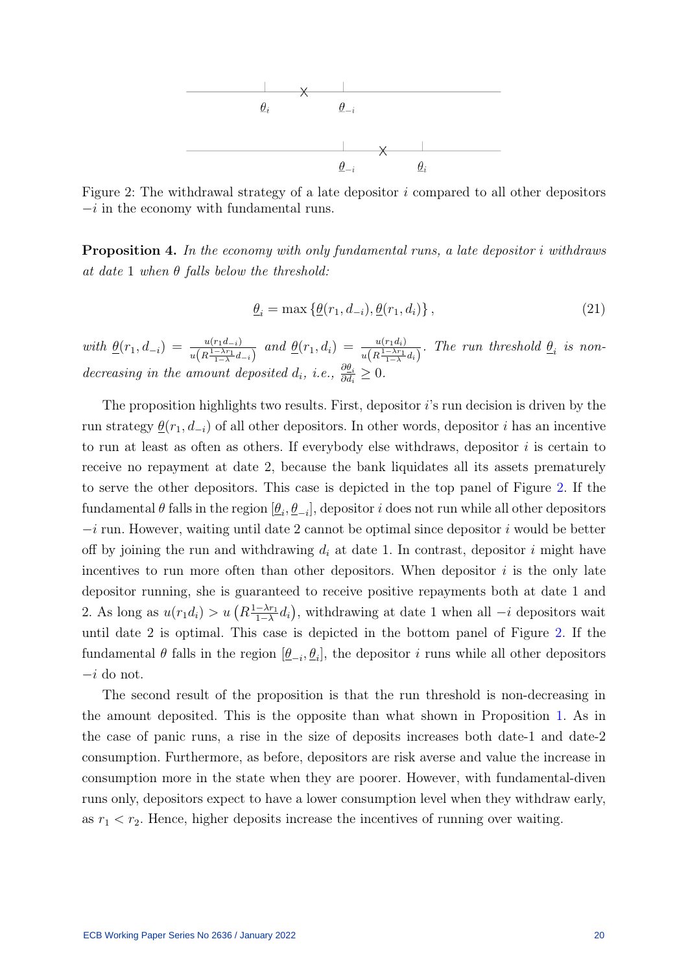<span id="page-20-0"></span>

Figure 2: The withdrawal strategy of a late depositor  $i$  compared to all other depositors  $-i$  in the economy with fundamental runs.

<span id="page-20-1"></span>Proposition 4. In the economy with only fundamental runs, a late depositor i withdraws at date 1 when  $\theta$  falls below the threshold:

<span id="page-20-2"></span>
$$
\underline{\theta}_i = \max \left\{ \underline{\theta}(r_1, d_{-i}), \underline{\theta}(r_1, d_i) \right\},\tag{21}
$$

with  $\underline{\theta}(r_1, d_{-i}) = \frac{u(r_1 d_{-i})}{u(R \frac{1-\lambda r_1}{1-\lambda} d_{-i})}$  and  $\underline{\theta}(r_1, d_i) = \frac{u(r_1 d_i)}{u(R \frac{1-\lambda r_1}{1-\lambda} d_i)}$ . The run threshold  $\underline{\theta}_i$  is nondecreasing in the amount deposited  $d_i$ , i.e.,  $\frac{\partial \theta_i}{\partial d_i} \geq 0$ .

The proposition highlights two results. First, depositor i's run decision is driven by the run strategy  $\underline{\theta}(r_1, d_{-i})$  of all other depositors. In other words, depositor i has an incentive to run at least as often as others. If everybody else withdraws, depositor  $i$  is certain to receive no repayment at date 2, because the bank liquidates all its assets prematurely to serve the other depositors. This case is depicted in the top panel of Figure [2.](#page-20-0) If the fundamental  $\theta$  falls in the region  $[\underline{\theta}_i, \underline{\theta}_{-i}]$ , depositor i does not run while all other depositors  $-i$  run. However, waiting until date 2 cannot be optimal since depositor i would be better off by joining the run and withdrawing  $d_i$  at date 1. In contrast, depositor i might have incentives to run more often than other depositors. When depositor  $i$  is the only late depositor running, she is guaranteed to receive positive repayments both at date 1 and 2. As long as  $u(r_1d_i) > u\left(R\frac{1-\lambda r_1}{1-\lambda}\right)$  $\frac{-\lambda r_1}{1-\lambda}d_i$ , withdrawing at date 1 when all  $-i$  depositors wait until date 2 is optimal. This case is depicted in the bottom panel of Figure [2.](#page-20-0) If the fundamental  $\theta$  falls in the region  $[\underline{\theta}_{-i}, \underline{\theta}_i]$ , the depositor i runs while all other depositors  $-i$  do not.

The second result of the proposition is that the run threshold is non-decreasing in the amount deposited. This is the opposite than what shown in Proposition [1.](#page-13-1) As in the case of panic runs, a rise in the size of deposits increases both date-1 and date-2 consumption. Furthermore, as before, depositors are risk averse and value the increase in consumption more in the state when they are poorer. However, with fundamental-diven runs only, depositors expect to have a lower consumption level when they withdraw early, as  $r_1 < r_2$ . Hence, higher deposits increase the incentives of running over waiting.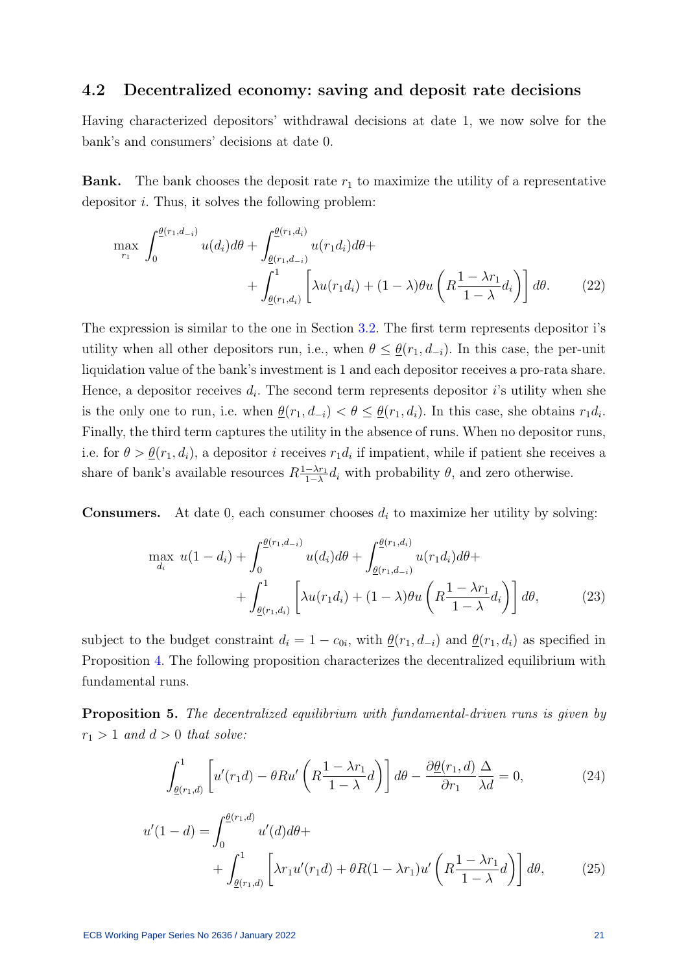### 4.2 Decentralized economy: saving and deposit rate decisions

Having characterized depositors' withdrawal decisions at date 1, we now solve for the bank's and consumers' decisions at date 0.

**Bank.** The bank chooses the deposit rate  $r_1$  to maximize the utility of a representative depositor  $i$ . Thus, it solves the following problem:

<span id="page-21-3"></span>
$$
\max_{r_1} \int_0^{\underline{\theta}(r_1, d_{-i})} u(d_i) d\theta + \int_{\underline{\theta}(r_1, d_{-i})}^{\underline{\theta}(r_1, d_i)} u(r_1 d_i) d\theta + \int_{\underline{\theta}(r_1, d_i)}^1 \left[ \lambda u(r_1 d_i) + (1 - \lambda) \theta u \left( R \frac{1 - \lambda r_1}{1 - \lambda} d_i \right) \right] d\theta. \tag{22}
$$

The expression is similar to the one in Section [3.2.](#page-14-0) The first term represents depositor i's utility when all other depositors run, i.e., when  $\theta \leq \theta(r_1, d_{-i})$ . In this case, the per-unit liquidation value of the bank's investment is 1 and each depositor receives a pro-rata share. Hence, a depositor receives  $d_i$ . The second term represents depositor i's utility when she is the only one to run, i.e. when  $\underline{\theta}(r_1, d_{-i}) < \theta \leq \underline{\theta}(r_1, d_i)$ . In this case, she obtains  $r_1 d_i$ . Finally, the third term captures the utility in the absence of runs. When no depositor runs, i.e. for  $\theta > \underline{\theta}(r_1, d_i)$ , a depositor *i* receives  $r_1 d_i$  if impatient, while if patient she receives a share of bank's available resources  $R\frac{1-\lambda r_1}{1-\lambda}$  $\frac{-\lambda r_1}{1-\lambda}d_i$  with probability  $\theta$ , and zero otherwise.

**Consumers.** At date 0, each consumer chooses  $d_i$  to maximize her utility by solving:

<span id="page-21-4"></span>
$$
\max_{d_i} u(1 - d_i) + \int_0^{\underline{\theta}(r_1, d_{-i})} u(d_i) d\theta + \int_{\underline{\theta}(r_1, d_{-i})}^{\underline{\theta}(r_1, d_i)} u(r_1 d_i) d\theta + + \int_{\underline{\theta}(r_1, d_i)}^1 \left[ \lambda u(r_1 d_i) + (1 - \lambda) \theta u \left( R \frac{1 - \lambda r_1}{1 - \lambda} d_i \right) \right] d\theta, \tag{23}
$$

subject to the budget constraint  $d_i = 1 - c_{0i}$ , with  $\underline{\theta}(r_1, d_{-i})$  and  $\underline{\theta}(r_1, d_i)$  as specified in Proposition [4.](#page-20-1) The following proposition characterizes the decentralized equilibrium with fundamental runs.

<span id="page-21-2"></span>Proposition 5. The decentralized equilibrium with fundamental-driven runs is given by  $r_1 > 1$  and  $d > 0$  that solve:

<span id="page-21-1"></span><span id="page-21-0"></span>
$$
\int_{\underline{\theta}(r_1,d)}^1 \left[ u'(r_1 d) - \theta R u' \left( R \frac{1 - \lambda r_1}{1 - \lambda} d \right) \right] d\theta - \frac{\partial \underline{\theta}(r_1,d)}{\partial r_1} \frac{\Delta}{\lambda d} = 0, \tag{24}
$$

$$
u'(1-d) = \int_0^{\underline{\theta}(r_1,d)} u'(d)d\theta + \int_{\underline{\theta}(r_1,d)}^1 \left[ \lambda r_1 u'(r_1 d) + \theta R (1 - \lambda r_1) u'\left(R\frac{1-\lambda r_1}{1-\lambda}d\right) \right] d\theta, \tag{25}
$$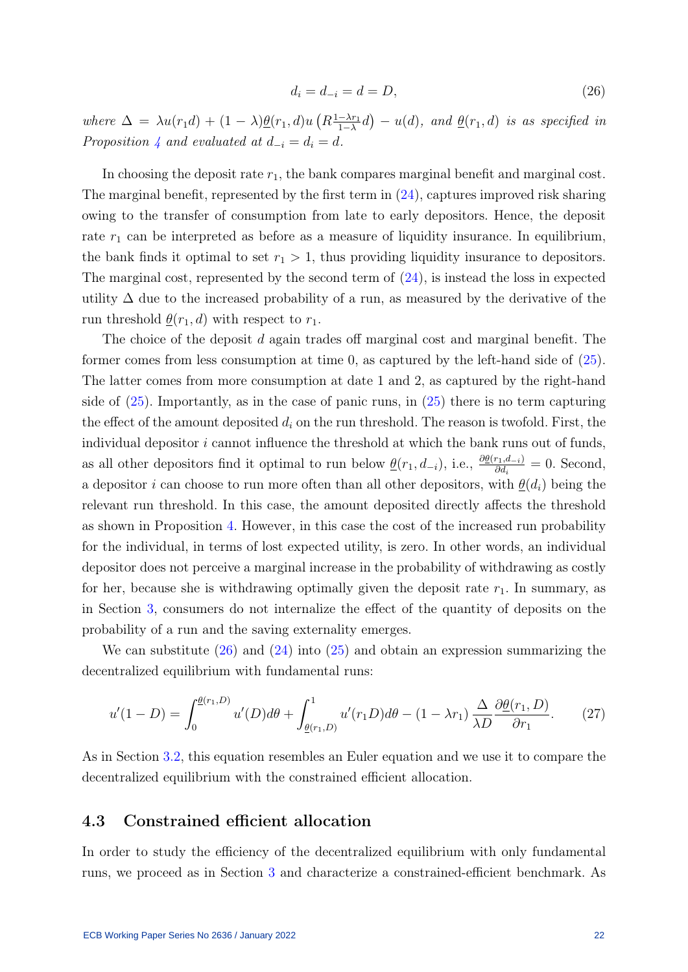<span id="page-22-0"></span>
$$
d_i = d_{-i} = d = D,\t\t(26)
$$

where  $\Delta = \lambda u(r_1 d) + (1 - \lambda) \underline{\theta}(r_1, d) u \left(R \frac{1 - \lambda r_1}{1 - \lambda} \right)$  $\frac{-\lambda r_1}{1-\lambda}$ d) – u(d), and <u> $\theta(r_1, d)$ </u> is as specified in Proposition [4](#page-20-1) and evaluated at  $d_{-i} = d_i = d$ .

In choosing the deposit rate  $r_1$ , the bank compares marginal benefit and marginal cost. The marginal benefit, represented by the first term in  $(24)$ , captures improved risk sharing owing to the transfer of consumption from late to early depositors. Hence, the deposit rate  $r_1$  can be interpreted as before as a measure of liquidity insurance. In equilibrium, the bank finds it optimal to set  $r_1 > 1$ , thus providing liquidity insurance to depositors. The marginal cost, represented by the second term of  $(24)$ , is instead the loss in expected utility  $\Delta$  due to the increased probability of a run, as measured by the derivative of the run threshold  $\underline{\theta}(r_1, d)$  with respect to  $r_1$ .

The choice of the deposit d again trades of marginal cost and marginal benefit. The former comes from less consumption at time 0, as captured by the left-hand side of [\(25\)](#page-21-1). The latter comes from more consumption at date 1 and 2, as captured by the right-hand side of  $(25)$ . Importantly, as in the case of panic runs, in  $(25)$  there is no term capturing the effect of the amount deposited  $d_i$  on the run threshold. The reason is twofold. First, the individual depositor  $i$  cannot influence the threshold at which the bank runs out of funds, as all other depositors find it optimal to run below  $\underline{\theta}(r_1, d_{-i})$ , i.e.,  $\frac{\partial \underline{\theta}(r_1, d_{-i})}{\partial d_i} = 0$ . Second, a depositor i can choose to run more often than all other depositors, with  $\underline{\theta}(d_i)$  being the relevant run threshold. In this case, the amount deposited directly affects the threshold as shown in Proposition [4.](#page-20-1) However, in this case the cost of the increased run probability for the individual, in terms of lost expected utility, is zero. In other words, an individual depositor does not perceive a marginal increase in the probability of withdrawing as costly for her, because she is withdrawing optimally given the deposit rate  $r_1$ . In summary, as in Section [3,](#page-10-0) consumers do not internalize the effect of the quantity of deposits on the probability of a run and the saving externality emerges.

We can substitute  $(26)$  and  $(24)$  into  $(25)$  and obtain an expression summarizing the decentralized equilibrium with fundamental runs:

<span id="page-22-1"></span>
$$
u'(1 - D) = \int_0^{\underline{\theta}(r_1, D)} u'(D) d\theta + \int_{\underline{\theta}(r_1, D)}^1 u'(r_1 D) d\theta - (1 - \lambda r_1) \frac{\Delta}{\lambda D} \frac{\partial \underline{\theta}(r_1, D)}{\partial r_1}.
$$
 (27)

As in Section [3.2,](#page-14-0) this equation resembles an Euler equation and we use it to compare the decentralized equilibrium with the constrained efficient allocation.

### 4.3 Constrained efficient allocation

In order to study the efficiency of the decentralized equilibrium with only fundamental runs, we proceed as in Section [3](#page-10-0) and characterize a constrained-efficient benchmark. As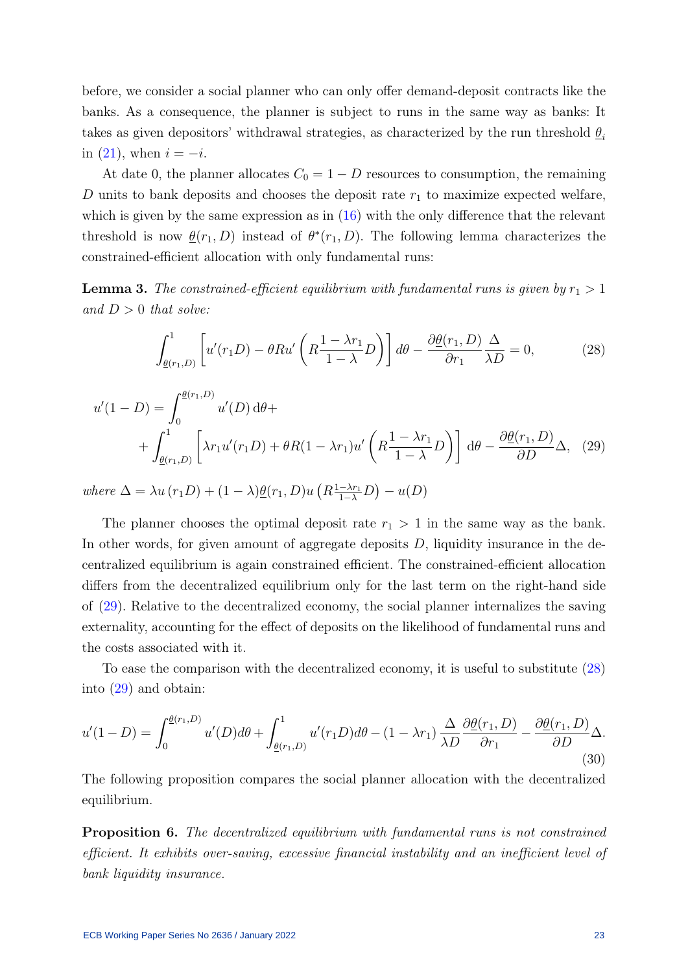before, we consider a social planner who can only offer demand-deposit contracts like the banks. As a consequence, the planner is subject to runs in the same way as banks: It takes as given depositors' withdrawal strategies, as characterized by the run threshold  $\theta_i$ in  $(21)$ , when  $i = -i$ .

At date 0, the planner allocates  $C_0 = 1 - D$  resources to consumption, the remaining D units to bank deposits and chooses the deposit rate  $r_1$  to maximize expected welfare, which is given by the same expression as in  $(16)$  with the only difference that the relevant threshold is now  $\underline{\theta}(r_1, D)$  instead of  $\theta^*(r_1, D)$ . The following lemma characterizes the constrained-efficient allocation with only fundamental runs:

<span id="page-23-3"></span>**Lemma 3.** The constrained-efficient equilibrium with fundamental runs is given by  $r_1 > 1$ and  $D > 0$  that solve:

<span id="page-23-1"></span><span id="page-23-0"></span>
$$
\int_{\underline{\theta}(r_1,D)}^1 \left[ u'(r_1D) - \theta R u' \left( R \frac{1 - \lambda r_1}{1 - \lambda} D \right) \right] d\theta - \frac{\partial \underline{\theta}(r_1,D)}{\partial r_1} \frac{\Delta}{\lambda D} = 0, \tag{28}
$$

$$
u'(1 - D) = \int_0^{\underline{\theta}(r_1, D)} u'(D) d\theta +
$$
  
+ 
$$
\int_{\underline{\theta}(r_1, D)}^1 \left[ \lambda r_1 u'(r_1 D) + \theta R (1 - \lambda r_1) u'\left( R \frac{1 - \lambda r_1}{1 - \lambda} D \right) \right] d\theta - \frac{\partial \underline{\theta}(r_1, D)}{\partial D} \Delta,
$$
 (29)

where  $\Delta = \lambda u(r_1D) + (1 - \lambda) \underline{\theta}(r_1, D) u(R_{\frac{1-\lambda r_1}{1-\lambda}}D) - u(D)$ 

The planner chooses the optimal deposit rate  $r_1 > 1$  in the same way as the bank. In other words, for given amount of aggregate deposits  $D$ , liquidity insurance in the decentralized equilibrium is again constrained efficient. The constrained-efficient allocation differs from the decentralized equilibrium only for the last term on the right-hand side of [\(29\)](#page-23-0). Relative to the decentralized economy, the social planner internalizes the saving externality, accounting for the effect of deposits on the likelihood of fundamental runs and the costs associated with it.

To ease the comparison with the decentralized economy, it is useful to substitute [\(28\)](#page-23-1) into [\(29\)](#page-23-0) and obtain:

<span id="page-23-4"></span>
$$
u'(1-D) = \int_0^{\underline{\theta}(r_1,D)} u'(D)d\theta + \int_{\underline{\theta}(r_1,D)}^1 u'(r_1D)d\theta - (1-\lambda r_1) \frac{\Delta}{\lambda D} \frac{\partial \underline{\theta}(r_1,D)}{\partial r_1} - \frac{\partial \underline{\theta}(r_1,D)}{\partial D} \Delta.
$$
\n(30)

The following proposition compares the social planner allocation with the decentralized equilibrium.

<span id="page-23-2"></span>Proposition 6. The decentralized equilibrium with fundamental runs is not constrained efficient. It exhibits over-saving, excessive financial instability and an inefficient level of bank liquidity insurance.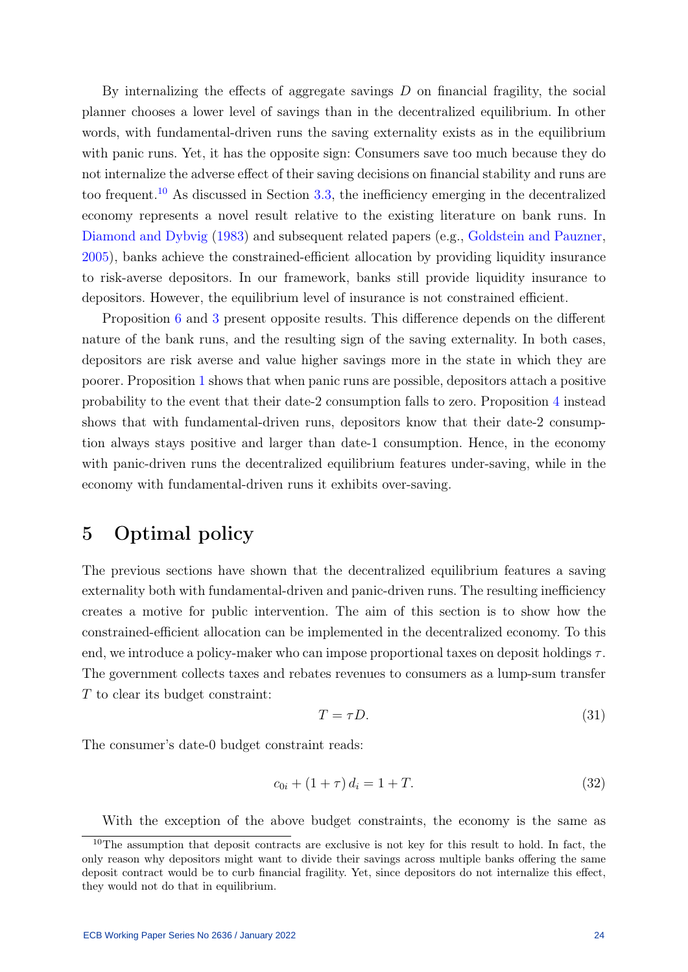By internalizing the effects of aggregate savings  $D$  on financial fragility, the social planner chooses a lower level of savings than in the decentralized equilibrium. In other words, with fundamental-driven runs the saving externality exists as in the equilibrium with panic runs. Yet, it has the opposite sign: Consumers save too much because they do not internalize the adverse effect of their saving decisions on financial stability and runs are too frequent.[10](#page-24-1) As discussed in Section [3.3,](#page-16-2) the inefficiency emerging in the decentralized economy represents a novel result relative to the existing literature on bank runs. In [Diamond and Dybvig](#page-30-0) [\(1983\)](#page-30-0) and subsequent related papers (e.g., [Goldstein and Pauzner,](#page-30-1) [2005\)](#page-30-1), banks achieve the constrained-efficient allocation by providing liquidity insurance to risk-averse depositors. In our framework, banks still provide liquidity insurance to depositors. However, the equilibrium level of insurance is not constrained efficient.

Proposition [6](#page-23-2) and [3](#page-17-3) present opposite results. This difference depends on the different nature of the bank runs, and the resulting sign of the saving externality. In both cases, depositors are risk averse and value higher savings more in the state in which they are poorer. Proposition [1](#page-13-1) shows that when panic runs are possible, depositors attach a positive probability to the event that their date-2 consumption falls to zero. Proposition [4](#page-20-1) instead shows that with fundamental-driven runs, depositors know that their date-2 consumption always stays positive and larger than date-1 consumption. Hence, in the economy with panic-driven runs the decentralized equilibrium features under-saving, while in the economy with fundamental-driven runs it exhibits over-saving.

## <span id="page-24-0"></span>5 Optimal policy

The previous sections have shown that the decentralized equilibrium features a saving externality both with fundamental-driven and panic-driven runs. The resulting inefficiency creates a motive for public intervention. The aim of this section is to show how the constrained-efficient allocation can be implemented in the decentralized economy. To this end, we introduce a policy-maker who can impose proportional taxes on deposit holdings  $\tau$ . The government collects taxes and rebates revenues to consumers as a lump-sum transfer T to clear its budget constraint:

$$
T = \tau D. \tag{31}
$$

The consumer's date-0 budget constraint reads:

$$
c_{0i} + (1 + \tau) d_i = 1 + T. \tag{32}
$$

<span id="page-24-1"></span>With the exception of the above budget constraints, the economy is the same as

<sup>10</sup>The assumption that deposit contracts are exclusive is not key for this result to hold. In fact, the only reason why depositors might want to divide their savings across multiple banks offering the same deposit contract would be to curb financial fragility. Yet, since depositors do not internalize this effect, they would not do that in equilibrium.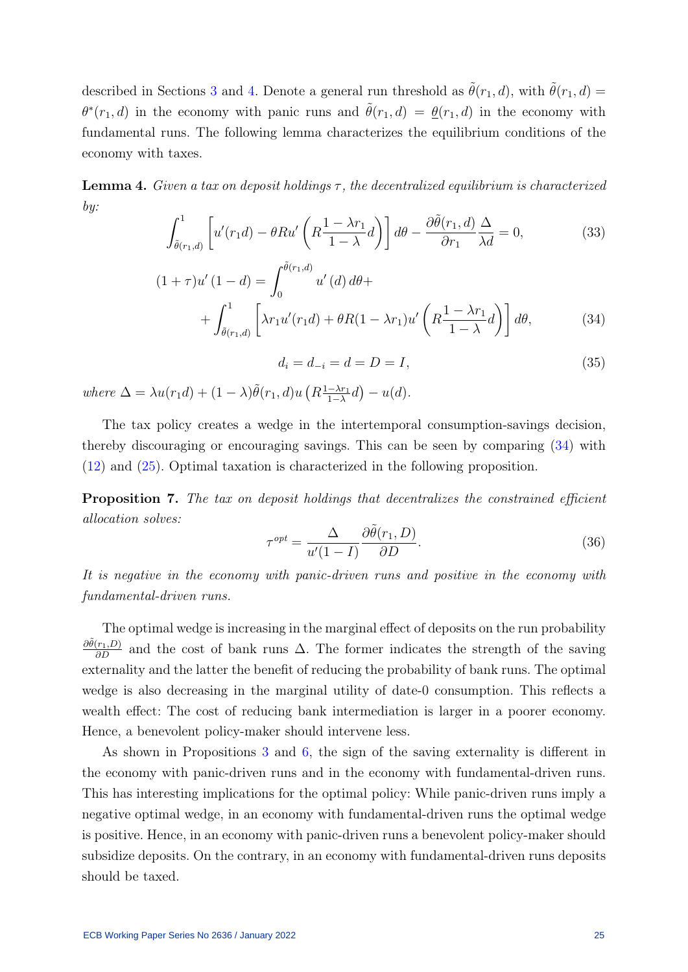described in Sections [3](#page-10-0) and [4.](#page-18-0) Denote a general run threshold as  $\tilde{\theta}(r_1, d)$ , with  $\tilde{\theta}(r_1, d)$  $\theta^*(r_1, d)$  in the economy with panic runs and  $\tilde{\theta}(r_1, d) = \underline{\theta}(r_1, d)$  in the economy with fundamental runs. The following lemma characterizes the equilibrium conditions of the economy with taxes.

<span id="page-25-1"></span>**Lemma 4.** Given a tax on deposit holdings  $\tau$ , the decentralized equilibrium is characterized by:

$$
\int_{\tilde{\theta}(r_1,d)}^1 \left[ u'(r_1 d) - \theta R u' \left( R \frac{1 - \lambda r_1}{1 - \lambda} d \right) \right] d\theta - \frac{\partial \tilde{\theta}(r_1,d)}{\partial r_1} \frac{\Delta}{\lambda d} = 0, \tag{33}
$$

$$
(1+\tau)u'(1-d) = \int_0^{\tilde{\theta}(r_1,d)} u'(d) d\theta +
$$
  
+ 
$$
\int_{\tilde{\theta}(r_1,d)}^1 \left[ \lambda r_1 u'(r_1 d) + \theta R (1-\lambda r_1) u'\left(R\frac{1-\lambda r_1}{1-\lambda}d\right) \right] d\theta,
$$
 (34)

<span id="page-25-0"></span> $d_i = d_{-i} = d = D = I,$  (35)

where  $\Delta = \lambda u(r_1 d) + (1 - \lambda) \tilde{\theta}(r_1, d) u \left(R_{\frac{1-\lambda r_1}{1-\lambda}}\right)$  $\frac{-\lambda r_1}{1-\lambda}d$  –  $u(d)$ .

The tax policy creates a wedge in the intertemporal consumption-savings decision, thereby discouraging or encouraging savings. This can be seen by comparing [\(34\)](#page-25-0) with [\(12\)](#page-15-1) and [\(25\)](#page-21-1). Optimal taxation is characterized in the following proposition.

<span id="page-25-2"></span>Proposition 7. The tax on deposit holdings that decentralizes the constrained efficient allocation solves:

$$
\tau^{opt} = \frac{\Delta}{u'(1-I)} \frac{\partial \tilde{\theta}(r_1, D)}{\partial D}.
$$
\n(36)

It is negative in the economy with panic-driven runs and positive in the economy with fundamental-driven runs.

The optimal wedge is increasing in the marginal effect of deposits on the run probability  $\frac{\partial \tilde{\theta}(r_1, D)}{\partial D}$  and the cost of bank runs  $\Delta$ . The former indicates the strength of the saving externality and the latter the benefit of reducing the probability of bank runs. The optimal wedge is also decreasing in the marginal utility of date-0 consumption. This reflects a wealth effect: The cost of reducing bank intermediation is larger in a poorer economy. Hence, a benevolent policy-maker should intervene less.

As shown in Propositions [3](#page-17-3) and [6,](#page-23-2) the sign of the saving externality is different in the economy with panic-driven runs and in the economy with fundamental-driven runs. This has interesting implications for the optimal policy: While panic-driven runs imply a negative optimal wedge, in an economy with fundamental-driven runs the optimal wedge is positive. Hence, in an economy with panic-driven runs a benevolent policy-maker should subsidize deposits. On the contrary, in an economy with fundamental-driven runs deposits should be taxed.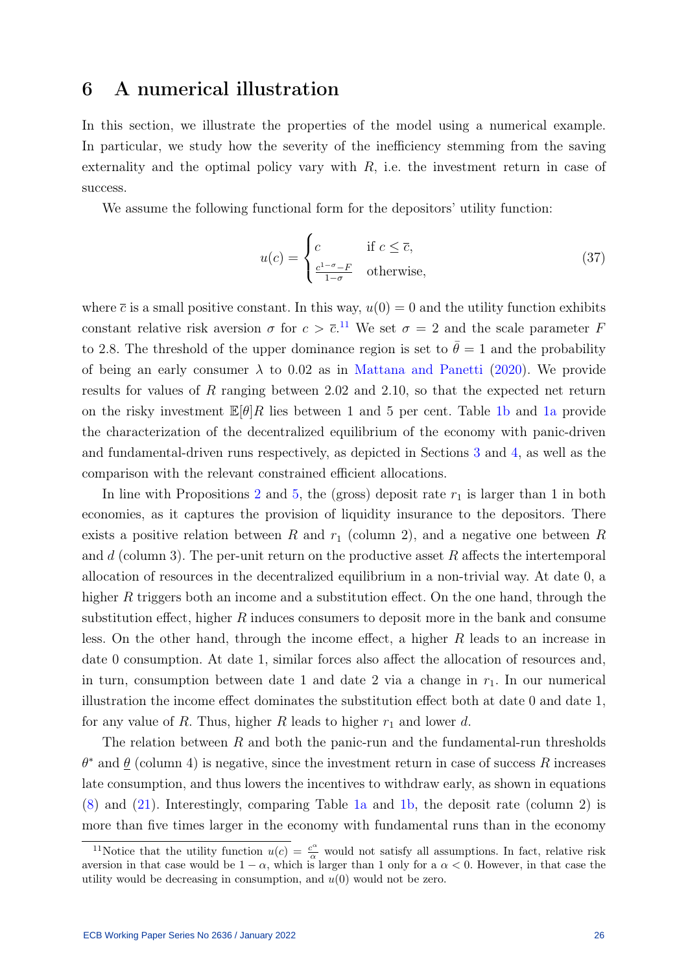### <span id="page-26-0"></span>6 A numerical illustration

In this section, we illustrate the properties of the model using a numerical example. In particular, we study how the severity of the inefficiency stemming from the saving externality and the optimal policy vary with  $R$ , i.e. the investment return in case of success.

We assume the following functional form for the depositors' utility function:

$$
u(c) = \begin{cases} c & \text{if } c \le \overline{c}, \\ \frac{c^{1-\sigma}-F}{1-\sigma} & \text{otherwise}, \end{cases}
$$
 (37)

where  $\bar{c}$  is a small positive constant. In this way,  $u(0) = 0$  and the utility function exhibits constant relative risk aversion  $\sigma$  for  $c > \bar{c}$ .<sup>[11](#page-26-1)</sup> We set  $\sigma = 2$  and the scale parameter F to 2.8. The threshold of the upper dominance region is set to  $\bar{\theta} = 1$  and the probability of being an early consumer  $\lambda$  to 0.02 as in [Mattana and Panetti](#page-31-11) [\(2020\)](#page-31-11). We provide results for values of R ranging between 2.02 and 2.10, so that the expected net return on the risky investment  $\mathbb{E}[\theta]R$  lies between 1 and 5 per cent. Table [1b](#page-27-0) and [1a](#page-27-0) provide the characterization of the decentralized equilibrium of the economy with panic-driven and fundamental-driven runs respectively, as depicted in Sections [3](#page-10-0) and [4,](#page-18-0) as well as the comparison with the relevant constrained efficient allocations.

In line with Propositions [2](#page-15-3) and [5,](#page-21-2) the (gross) deposit rate  $r_1$  is larger than 1 in both economies, as it captures the provision of liquidity insurance to the depositors. There exists a positive relation between R and  $r_1$  (column 2), and a negative one between R and  $d$  (column 3). The per-unit return on the productive asset  $R$  affects the intertemporal allocation of resources in the decentralized equilibrium in a non-trivial way. At date 0, a higher R triggers both an income and a substitution effect. On the one hand, through the substitution effect, higher R induces consumers to deposit more in the bank and consume less. On the other hand, through the income effect, a higher R leads to an increase in date 0 consumption. At date 1, similar forces also affect the allocation of resources and, in turn, consumption between date 1 and date 2 via a change in  $r_1$ . In our numerical illustration the income effect dominates the substitution effect both at date 0 and date 1, for any value of R. Thus, higher R leads to higher  $r_1$  and lower d.

The relation between  $R$  and both the panic-run and the fundamental-run thresholds  $\theta^*$  and  $\underline{\theta}$  (column 4) is negative, since the investment return in case of success R increases late consumption, and thus lowers the incentives to withdraw early, as shown in equations [\(8\)](#page-13-2) and [\(21\)](#page-20-2). Interestingly, comparing Table [1a](#page-27-0) and [1b,](#page-27-0) the deposit rate (column 2) is more than five times larger in the economy with fundamental runs than in the economy

<span id="page-26-1"></span><sup>&</sup>lt;sup>11</sup>Notice that the utility function  $u(c) = \frac{c^{\alpha}}{\alpha}$  would not satisfy all assumptions. In fact, relative risk aversion in that case would be  $1 - \alpha$ , which is larger than 1 only for a  $\alpha < 0$ . However, in that case the utility would be decreasing in consumption, and  $u(0)$  would not be zero.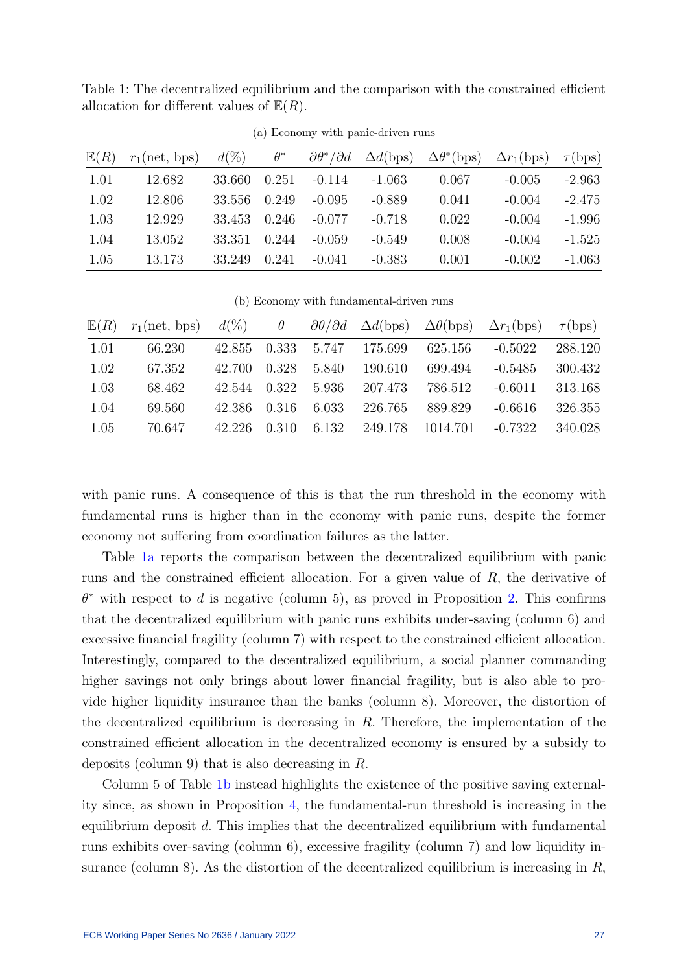<span id="page-27-0"></span>Table 1: The decentralized equilibrium and the comparison with the constrained efficient allocation for different values of  $\mathbb{E}(R)$ .

| E(R) | $r_1(\text{net}, \text{bps})$ | $d(\%)$ | $\theta^*$ | $\partial \theta^* / \partial d$ | $\Delta d({\rm bps})$ | $\Delta\theta^*(\text{bps})$ | $\Delta r_1(\text{bps})$ | $\tau(bps)$ |
|------|-------------------------------|---------|------------|----------------------------------|-----------------------|------------------------------|--------------------------|-------------|
| 1.01 | 12.682                        | 33.660  | 0.251      | $-0.114$                         | $-1.063$              | 0.067                        | $-0.005$                 | $-2.963$    |
| 1.02 | 12.806                        | 33.556  | 0.249      | $-0.095$                         | $-0.889$              | 0.041                        | $-0.004$                 | $-2.475$    |
| 1.03 | 12.929                        | 33.453  | 0.246      | $-0.077$                         | $-0.718$              | 0.022                        | $-0.004$                 | $-1.996$    |
| 1.04 | 13.052                        | 33.351  | 0.244      | $-0.059$                         | $-0.549$              | 0.008                        | $-0.004$                 | $-1.525$    |
| 1.05 | 13.173                        | 33.249  | 0.241      | $-0.041$                         | $-0.383$              | 0.001                        | $-0.002$                 | $-1.063$    |

(a) Economy with panic-driven runs

(b) Economy with fundamental-driven runs

| E(R) | $r_1(\text{net}, \text{bps})$ | $d(\%)$ | $\theta$ |       |         | $\partial \theta / \partial d$ $\Delta d(bps)$ $\Delta \underline{\theta} (bps)$ $\Delta r_1 (bps)$ |           | $\tau(bps)$ |
|------|-------------------------------|---------|----------|-------|---------|-----------------------------------------------------------------------------------------------------|-----------|-------------|
| 1.01 | 66.230                        | 42.855  | 0.333    | 5.747 | 175.699 | 625.156                                                                                             | $-0.5022$ | 288.120     |
| 1.02 | 67.352                        | 42.700  | 0.328    | 5.840 | 190.610 | 699.494                                                                                             | $-0.5485$ | 300.432     |
| 1.03 | 68.462                        | 42.544  | 0.322    | 5.936 | 207.473 | 786.512                                                                                             | $-0.6011$ | 313.168     |
| 1.04 | 69.560                        | 42.386  | 0.316    | 6.033 | 226.765 | 889.829                                                                                             | $-0.6616$ | 326.355     |
| 1.05 | 70.647                        | 42.226  | 0.310    | 6.132 | 249.178 | 1014.701                                                                                            | $-0.7322$ | 340.028     |

with panic runs. A consequence of this is that the run threshold in the economy with fundamental runs is higher than in the economy with panic runs, despite the former economy not suffering from coordination failures as the latter.

Table [1a](#page-27-0) reports the comparison between the decentralized equilibrium with panic runs and the constrained efficient allocation. For a given value of R, the derivative of  $\theta^*$  with respect to d is negative (column 5), as proved in Proposition [2.](#page-15-3) This confirms that the decentralized equilibrium with panic runs exhibits under-saving (column 6) and excessive financial fragility (column 7) with respect to the constrained efficient allocation. Interestingly, compared to the decentralized equilibrium, a social planner commanding higher savings not only brings about lower financial fragility, but is also able to provide higher liquidity insurance than the banks (column 8). Moreover, the distortion of the decentralized equilibrium is decreasing in  $R$ . Therefore, the implementation of the constrained efficient allocation in the decentralized economy is ensured by a subsidy to deposits (column 9) that is also decreasing in R.

Column 5 of Table [1b](#page-27-0) instead highlights the existence of the positive saving externality since, as shown in Proposition [4,](#page-20-1) the fundamental-run threshold is increasing in the equilibrium deposit d. This implies that the decentralized equilibrium with fundamental runs exhibits over-saving (column 6), excessive fragility (column 7) and low liquidity insurance (column 8). As the distortion of the decentralized equilibrium is increasing in  $R$ ,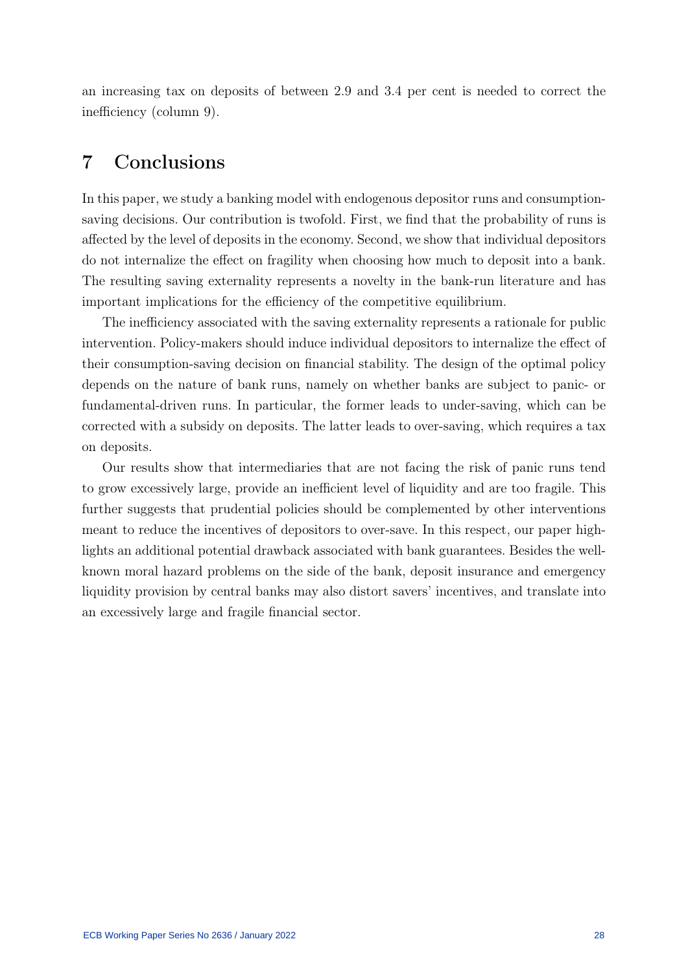an increasing tax on deposits of between 2.9 and 3.4 per cent is needed to correct the inefficiency (column 9).

## <span id="page-28-0"></span>7 Conclusions

In this paper, we study a banking model with endogenous depositor runs and consumptionsaving decisions. Our contribution is twofold. First, we find that the probability of runs is affected by the level of deposits in the economy. Second, we show that individual depositors do not internalize the effect on fragility when choosing how much to deposit into a bank. The resulting saving externality represents a novelty in the bank-run literature and has important implications for the efficiency of the competitive equilibrium.

The inefficiency associated with the saving externality represents a rationale for public intervention. Policy-makers should induce individual depositors to internalize the effect of their consumption-saving decision on financial stability. The design of the optimal policy depends on the nature of bank runs, namely on whether banks are subject to panic- or fundamental-driven runs. In particular, the former leads to under-saving, which can be corrected with a subsidy on deposits. The latter leads to over-saving, which requires a tax on deposits.

Our results show that intermediaries that are not facing the risk of panic runs tend to grow excessively large, provide an inefficient level of liquidity and are too fragile. This further suggests that prudential policies should be complemented by other interventions meant to reduce the incentives of depositors to over-save. In this respect, our paper highlights an additional potential drawback associated with bank guarantees. Besides the wellknown moral hazard problems on the side of the bank, deposit insurance and emergency liquidity provision by central banks may also distort savers' incentives, and translate into an excessively large and fragile financial sector.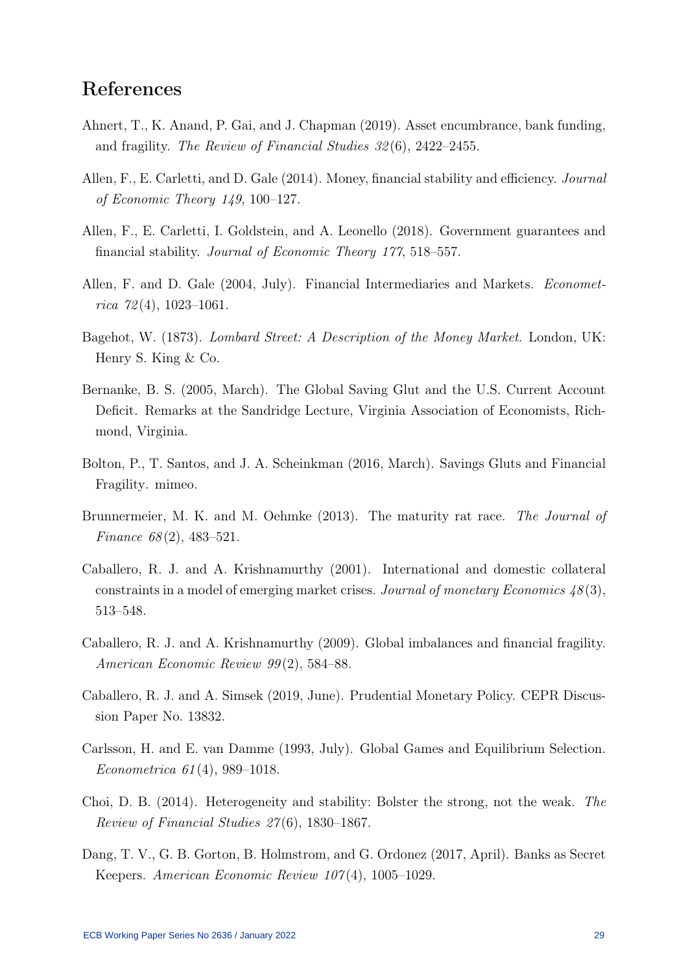## References

- <span id="page-29-6"></span>Ahnert, T., K. Anand, P. Gai, and J. Chapman (2019). Asset encumbrance, bank funding, and fragility. The Review of Financial Studies 32 (6), 2422–2455.
- <span id="page-29-2"></span>Allen, F., E. Carletti, and D. Gale (2014). Money, financial stability and efficiency. Journal of Economic Theory 149, 100–127.
- <span id="page-29-5"></span>Allen, F., E. Carletti, I. Goldstein, and A. Leonello (2018). Government guarantees and financial stability. Journal of Economic Theory 177, 518–557.
- <span id="page-29-0"></span>Allen, F. and D. Gale (2004, July). Financial Intermediaries and Markets. Economet $rica \ 72(4), \ 1023-1061.$
- <span id="page-29-13"></span>Bagehot, W. (1873). Lombard Street: A Description of the Money Market. London, UK: Henry S. King & Co.
- <span id="page-29-10"></span>Bernanke, B. S. (2005, March). The Global Saving Glut and the U.S. Current Account Deficit. Remarks at the Sandridge Lecture, Virginia Association of Economists, Richmond, Virginia.
- <span id="page-29-12"></span>Bolton, P., T. Santos, and J. A. Scheinkman (2016, March). Savings Gluts and Financial Fragility. mimeo.
- <span id="page-29-1"></span>Brunnermeier, M. K. and M. Oehmke (2013). The maturity rat race. The Journal of Finance  $68(2)$ , 483-521.
- <span id="page-29-7"></span>Caballero, R. J. and A. Krishnamurthy (2001). International and domestic collateral constraints in a model of emerging market crises. Journal of monetary Economics  $48(3)$ , 513–548.
- <span id="page-29-11"></span>Caballero, R. J. and A. Krishnamurthy (2009). Global imbalances and financial fragility. American Economic Review 99 (2), 584–88.
- <span id="page-29-8"></span>Caballero, R. J. and A. Simsek (2019, June). Prudential Monetary Policy. CEPR Discussion Paper No. 13832.
- <span id="page-29-3"></span>Carlsson, H. and E. van Damme (1993, July). Global Games and Equilibrium Selection. Econometrica 61 (4), 989–1018.
- <span id="page-29-4"></span>Choi, D. B. (2014). Heterogeneity and stability: Bolster the strong, not the weak. The Review of Financial Studies 27 (6), 1830–1867.
- <span id="page-29-9"></span>Dang, T. V., G. B. Gorton, B. Holmstrom, and G. Ordonez (2017, April). Banks as Secret Keepers. American Economic Review 107 (4), 1005–1029.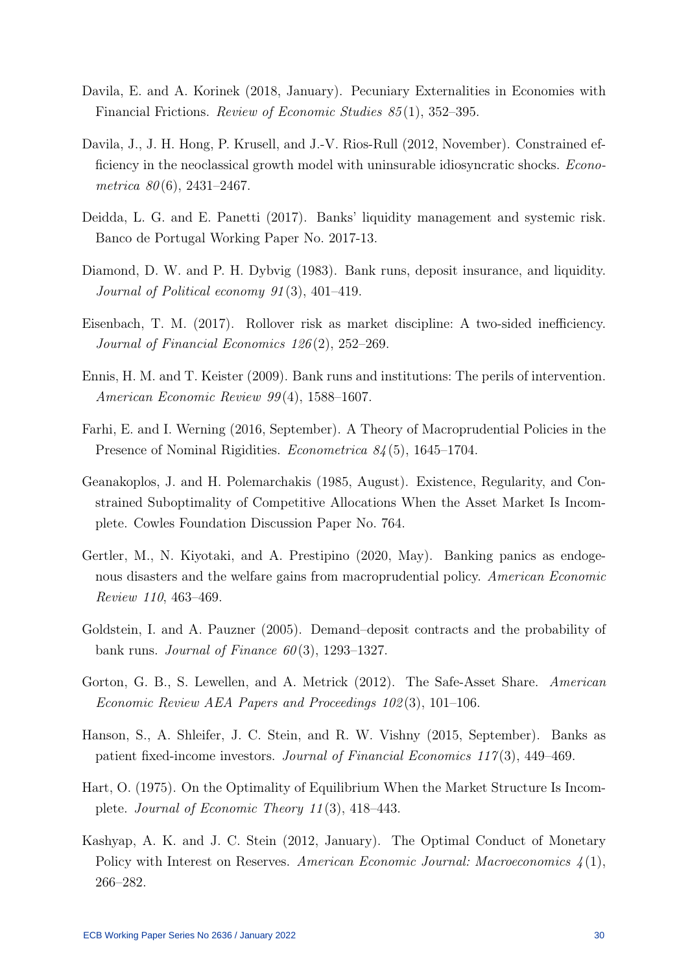- <span id="page-30-7"></span>Davila, E. and A. Korinek (2018, January). Pecuniary Externalities in Economies with Financial Frictions. Review of Economic Studies 85 (1), 352–395.
- <span id="page-30-10"></span>Davila, J., J. H. Hong, P. Krusell, and J.-V. Rios-Rull (2012, November). Constrained efficiency in the neoclassical growth model with uninsurable idiosyncratic shocks. *Econo*metrica  $80(6)$ , 2431–2467.
- <span id="page-30-13"></span>Deidda, L. G. and E. Panetti (2017). Banks' liquidity management and systemic risk. Banco de Portugal Working Paper No. 2017-13.
- <span id="page-30-0"></span>Diamond, D. W. and P. H. Dybvig (1983). Bank runs, deposit insurance, and liquidity. Journal of Political economy 91 (3), 401–419.
- <span id="page-30-4"></span>Eisenbach, T. M. (2017). Rollover risk as market discipline: A two-sided inefficiency. Journal of Financial Economics 126 (2), 252–269.
- <span id="page-30-3"></span>Ennis, H. M. and T. Keister (2009). Bank runs and institutions: The perils of intervention. American Economic Review 99 (4), 1588–1607.
- <span id="page-30-8"></span>Farhi, E. and I. Werning (2016, September). A Theory of Macroprudential Policies in the Presence of Nominal Rigidities. *Econometrica 84* (5), 1645–1704.
- <span id="page-30-6"></span>Geanakoplos, J. and H. Polemarchakis (1985, August). Existence, Regularity, and Constrained Suboptimality of Competitive Allocations When the Asset Market Is Incomplete. Cowles Foundation Discussion Paper No. 764.
- <span id="page-30-9"></span>Gertler, M., N. Kiyotaki, and A. Prestipino (2020, May). Banking panics as endogenous disasters and the welfare gains from macroprudential policy. American Economic Review 110, 463–469.
- <span id="page-30-1"></span>Goldstein, I. and A. Pauzner (2005). Demand–deposit contracts and the probability of bank runs. Journal of Finance  $60(3)$ , 1293–1327.
- <span id="page-30-12"></span>Gorton, G. B., S. Lewellen, and A. Metrick (2012). The Safe-Asset Share. American Economic Review AEA Papers and Proceedings 102 (3), 101–106.
- <span id="page-30-11"></span>Hanson, S., A. Shleifer, J. C. Stein, and R. W. Vishny (2015, September). Banks as patient fixed-income investors. Journal of Financial Economics 117 (3), 449–469.
- <span id="page-30-5"></span>Hart, O. (1975). On the Optimality of Equilibrium When the Market Structure Is Incomplete. Journal of Economic Theory 11 (3), 418–443.
- <span id="page-30-2"></span>Kashyap, A. K. and J. C. Stein (2012, January). The Optimal Conduct of Monetary Policy with Interest on Reserves. American Economic Journal: Macroeconomics  $\mathcal{L}(1)$ , 266–282.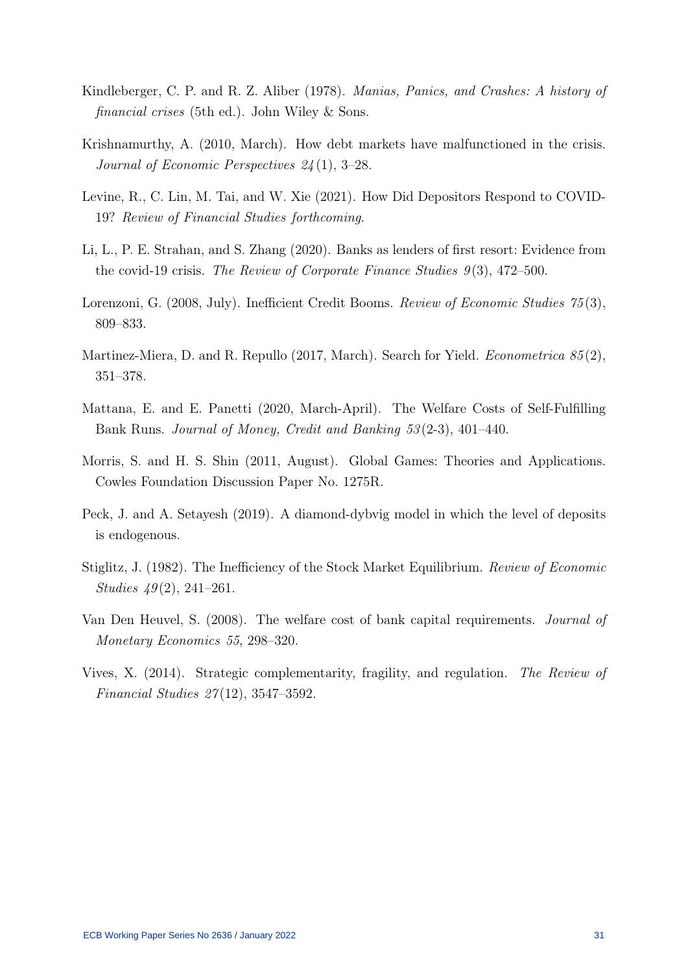- <span id="page-31-8"></span>Kindleberger, C. P. and R. Z. Aliber (1978). Manias, Panics, and Crashes: A history of financial crises (5th ed.). John Wiley & Sons.
- <span id="page-31-0"></span>Krishnamurthy, A. (2010, March). How debt markets have malfunctioned in the crisis. Journal of Economic Perspectives 24 (1), 3–28.
- <span id="page-31-2"></span>Levine, R., C. Lin, M. Tai, and W. Xie (2021). How Did Depositors Respond to COVID-19? Review of Financial Studies forthcoming.
- <span id="page-31-1"></span>Li, L., P. E. Strahan, and S. Zhang (2020). Banks as lenders of first resort: Evidence from the covid-19 crisis. The Review of Corporate Finance Studies  $9(3)$ , 472–500.
- <span id="page-31-7"></span>Lorenzoni, G. (2008, July). Inefficient Credit Booms. Review of Economic Studies 75(3), 809–833.
- <span id="page-31-9"></span>Martinez-Miera, D. and R. Repullo (2017, March). Search for Yield. *Econometrica*  $85(2)$ , 351–378.
- <span id="page-31-11"></span>Mattana, E. and E. Panetti (2020, March-April). The Welfare Costs of Self-Fulfilling Bank Runs. Journal of Money, Credit and Banking 53 (2-3), 401–440.
- <span id="page-31-4"></span>Morris, S. and H. S. Shin (2011, August). Global Games: Theories and Applications. Cowles Foundation Discussion Paper No. 1275R.
- <span id="page-31-3"></span>Peck, J. and A. Setayesh (2019). A diamond-dybvig model in which the level of deposits is endogenous.
- <span id="page-31-6"></span>Stiglitz, J. (1982). The Inefficiency of the Stock Market Equilibrium. Review of Economic Studies  $49(2)$ , 241–261.
- <span id="page-31-10"></span>Van Den Heuvel, S. (2008). The welfare cost of bank capital requirements. Journal of Monetary Economics 55, 298–320.
- <span id="page-31-5"></span>Vives, X. (2014). Strategic complementarity, fragility, and regulation. The Review of Financial Studies 27 (12), 3547–3592.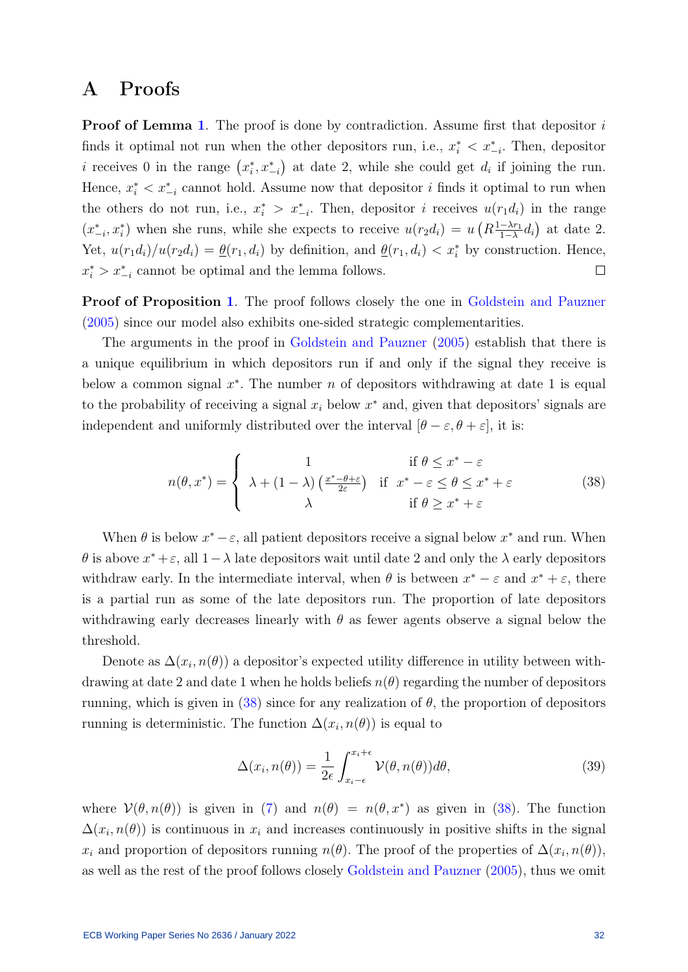## A Proofs

**Proof of Lemma [1](#page-12-1).** The proof is done by contradiction. Assume first that depositor i finds it optimal not run when the other depositors run, i.e.,  $x_i^* \leq x_{-i}^*$ . Then, depositor *i* receives 0 in the range  $(x_i^*, x_{-i}^*)$  at date 2, while she could get  $d_i$  if joining the run. Hence,  $x_i^* < x_{-i}^*$  cannot hold. Assume now that depositor i finds it optimal to run when the others do not run, i.e.,  $x_i^* > x_{-i}^*$ . Then, depositor i receives  $u(r_1d_i)$  in the range  $(x_{-i}^*, x_i^*)$  when she runs, while she expects to receive  $u(r_2d_i) = u\left(R_{\frac{1-\lambda r_1}{1-\lambda}}\right)$  $\frac{-\lambda r_1}{1-\lambda}d_i$  at date 2. Yet,  $u(r_1d_i)/u(r_2d_i) = \underline{\theta}(r_1, d_i)$  by definition, and  $\underline{\theta}(r_1, d_i) < x_i^*$  by construction. Hence,  $x_i^*$  >  $x_{-i}^*$  cannot be optimal and the lemma follows.  $\Box$ 

Proof of Proposition [1](#page-13-1). The proof follows closely the one in [Goldstein and Pauzner](#page-30-1) [\(2005\)](#page-30-1) since our model also exhibits one-sided strategic complementarities.

The arguments in the proof in [Goldstein and Pauzner](#page-30-1) [\(2005\)](#page-30-1) establish that there is a unique equilibrium in which depositors run if and only if the signal they receive is below a common signal  $x^*$ . The number n of depositors withdrawing at date 1 is equal to the probability of receiving a signal  $x_i$  below  $x^*$  and, given that depositors' signals are independent and uniformly distributed over the interval  $[\theta - \varepsilon, \theta + \varepsilon]$ , it is:

<span id="page-32-0"></span>
$$
n(\theta, x^*) = \begin{cases} 1 & \text{if } \theta \le x^* - \varepsilon \\ \lambda + (1 - \lambda) \left(\frac{x^* - \theta + \varepsilon}{2\varepsilon}\right) & \text{if } x^* - \varepsilon \le \theta \le x^* + \varepsilon \\ \lambda & \text{if } \theta \ge x^* + \varepsilon \end{cases} \tag{38}
$$

When  $\theta$  is below  $x^* - \varepsilon$ , all patient depositors receive a signal below  $x^*$  and run. When  $\theta$  is above  $x^* + \varepsilon$ , all  $1 - \lambda$  late depositors wait until date 2 and only the  $\lambda$  early depositors withdraw early. In the intermediate interval, when  $\theta$  is between  $x^* - \varepsilon$  and  $x^* + \varepsilon$ , there is a partial run as some of the late depositors run. The proportion of late depositors withdrawing early decreases linearly with  $\theta$  as fewer agents observe a signal below the threshold.

Denote as  $\Delta(x_i, n(\theta))$  a depositor's expected utility difference in utility between withdrawing at date 2 and date 1 when he holds beliefs  $n(\theta)$  regarding the number of depositors running, which is given in [\(38\)](#page-32-0) since for any realization of  $\theta$ , the proportion of depositors running is deterministic. The function  $\Delta(x_i, n(\theta))$  is equal to

$$
\Delta(x_i, n(\theta)) = \frac{1}{2\epsilon} \int_{x_i - \epsilon}^{x_i + \epsilon} \mathcal{V}(\theta, n(\theta)) d\theta,
$$
\n(39)

where  $\mathcal{V}(\theta, n(\theta))$  is given in [\(7\)](#page-12-0) and  $n(\theta) = n(\theta, x^*)$  as given in [\(38\)](#page-32-0). The function  $\Delta(x_i, n(\theta))$  is continuous in  $x_i$  and increases continuously in positive shifts in the signal  $x_i$  and proportion of depositors running  $n(\theta)$ . The proof of the properties of  $\Delta(x_i, n(\theta))$ , as well as the rest of the proof follows closely [Goldstein and Pauzner](#page-30-1) [\(2005\)](#page-30-1), thus we omit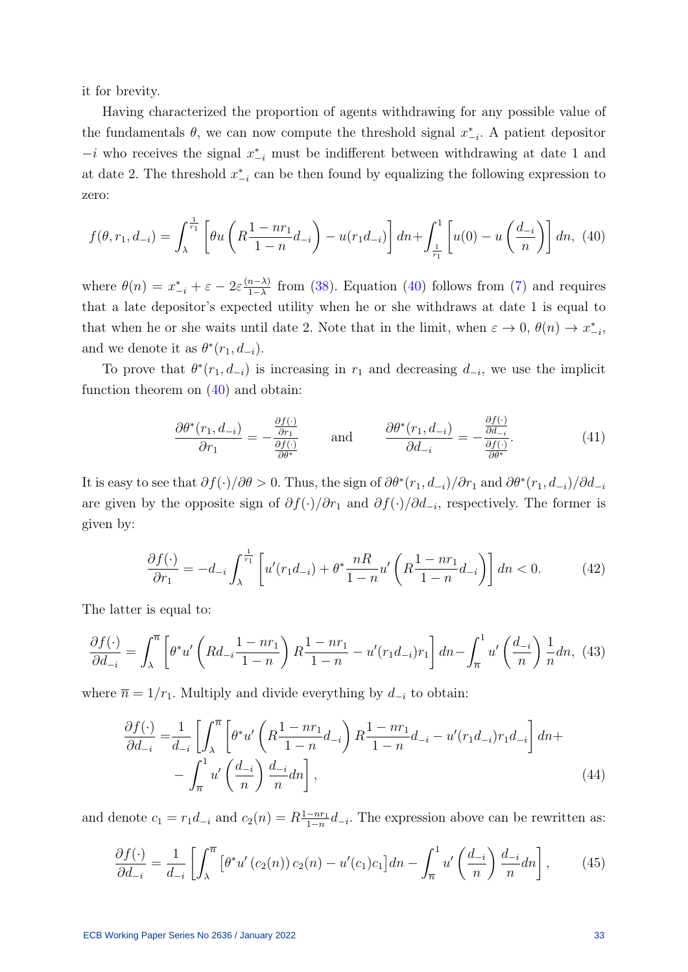it for brevity.

Having characterized the proportion of agents withdrawing for any possible value of the fundamentals  $\theta$ , we can now compute the threshold signal  $x_{-i}^*$ . A patient depositor  $-i$  who receives the signal  $x_{-i}^*$  must be indifferent between withdrawing at date 1 and at date 2. The threshold  $x_{-i}^*$  can be then found by equalizing the following expression to zero:

<span id="page-33-0"></span>
$$
f(\theta, r_1, d_{-i}) = \int_{\lambda}^{\frac{1}{r_1}} \left[ \theta u \left( R \frac{1 - nr_1}{1 - n} d_{-i} \right) - u(r_1 d_{-i}) \right] dn + \int_{\frac{1}{r_1}}^{1} \left[ u(0) - u \left( \frac{d_{-i}}{n} \right) \right] dn, (40)
$$

where  $\theta(n) = x_{-i}^* + \varepsilon - 2\varepsilon \frac{(n-\lambda)}{1-\lambda}$  $\frac{n-\lambda}{1-\lambda}$  from [\(38\)](#page-32-0). Equation [\(40\)](#page-33-0) follows from [\(7\)](#page-12-0) and requires that a late depositor's expected utility when he or she withdraws at date 1 is equal to that when he or she waits until date 2. Note that in the limit, when  $\varepsilon \to 0$ ,  $\theta(n) \to x^*_{-i}$ , and we denote it as  $\theta^*(r_1, d_{-i})$ .

To prove that  $\theta^*(r_1, d_{-i})$  is increasing in  $r_1$  and decreasing  $d_{-i}$ , we use the implicit function theorem on  $(40)$  and obtain:

$$
\frac{\partial \theta^*(r_1, d_{-i})}{\partial r_1} = -\frac{\frac{\partial f(\cdot)}{\partial r_1}}{\frac{\partial f(\cdot)}{\partial \theta^*}} \quad \text{and} \quad \frac{\partial \theta^*(r_1, d_{-i})}{\partial d_{-i}} = -\frac{\frac{\partial f(\cdot)}{\partial d_{-i}}}{\frac{\partial f(\cdot)}{\partial \theta^*}}.
$$
(41)

It is easy to see that  $\partial f(\cdot)/\partial \theta > 0$ . Thus, the sign of  $\partial \theta^*(r_1, d_{-i})/\partial r_1$  and  $\partial \theta^*(r_1, d_{-i})/\partial d_{-i}$ are given by the opposite sign of  $\partial f(\cdot)/\partial r_1$  and  $\partial f(\cdot)/\partial d_{-i}$ , respectively. The former is given by:

$$
\frac{\partial f(\cdot)}{\partial r_1} = -d_{-i} \int_{\lambda}^{\frac{1}{r_1}} \left[ u'(r_1 d_{-i}) + \theta^* \frac{nR}{1-n} u'\left( R \frac{1-nr_1}{1-n} d_{-i} \right) \right] dn < 0. \tag{42}
$$

The latter is equal to:

$$
\frac{\partial f(\cdot)}{\partial d_{-i}} = \int_{\lambda}^{\overline{n}} \left[ \theta^* u' \left( R d_{-i} \frac{1 - n r_1}{1 - n} \right) R \frac{1 - n r_1}{1 - n} - u' (r_1 d_{-i}) r_1 \right] dn - \int_{\overline{n}}^1 u' \left( \frac{d_{-i}}{n} \right) \frac{1}{n} dn, \tag{43}
$$

where  $\bar{n} = 1/r_1$ . Multiply and divide everything by  $d_{-i}$  to obtain:

$$
\frac{\partial f(\cdot)}{\partial d_{-i}} = \frac{1}{d_{-i}} \left[ \int_{\lambda}^{\overline{n}} \left[ \theta^* u' \left( R \frac{1 - n r_1}{1 - n} d_{-i} \right) R \frac{1 - n r_1}{1 - n} d_{-i} - u' (r_1 d_{-i}) r_1 d_{-i} \right] dn + - \int_{\overline{n}}^1 u' \left( \frac{d_{-i}}{n} \right) \frac{d_{-i}}{n} dn \right],
$$
\n(44)

and denote  $c_1 = r_1 d_{-i}$  and  $c_2(n) = R \frac{1 - nr_1}{1 - n}$  $\frac{-nr_1}{1-n}d_{-i}$ . The expression above can be rewritten as:

<span id="page-33-1"></span>
$$
\frac{\partial f(\cdot)}{\partial d_{-i}} = \frac{1}{d_{-i}} \left[ \int_{\lambda}^{\overline{n}} \left[ \theta^* u'(c_2(n)) c_2(n) - u'(c_1) c_1 \right] dn - \int_{\overline{n}}^1 u' \left( \frac{d_{-i}}{n} \right) \frac{d_{-i}}{n} dn \right],\tag{45}
$$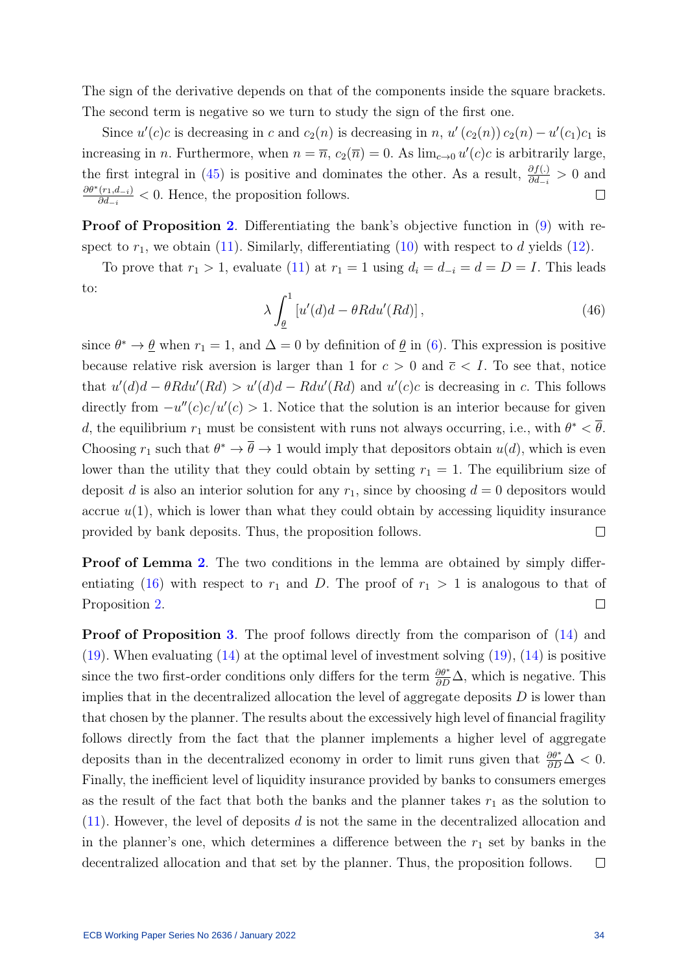The sign of the derivative depends on that of the components inside the square brackets. The second term is negative so we turn to study the sign of the first one.

Since  $u'(c)c$  is decreasing in c and  $c_2(n)$  is decreasing in n,  $u'(c_2(n)) c_2(n) - u'(c_1)c_1$  is increasing in *n*. Furthermore, when  $n = \overline{n}$ ,  $c_2(\overline{n}) = 0$ . As  $\lim_{c\to 0} u'(c)c$  is arbitrarily large, the first integral in [\(45\)](#page-33-1) is positive and dominates the other. As a result,  $\frac{\partial f(.)}{\partial d_{-i}} > 0$  and  $\partial \theta^*(r_1,d_{-i})$  $\frac{(r_1, a_{-i})}{\partial d_{-i}} < 0$ . Hence, the proposition follows.  $\Box$ 

Proof of Proposition [2](#page-15-3). Differentiating the bank's objective function in [\(9\)](#page-14-1) with respect to  $r_1$ , we obtain [\(11\)](#page-15-0). Similarly, differentiating [\(10\)](#page-15-4) with respect to d yields [\(12\)](#page-15-1).

To prove that  $r_1 > 1$ , evaluate [\(11\)](#page-15-0) at  $r_1 = 1$  using  $d_i = d_{-i} = d = D = I$ . This leads to:

$$
\lambda \int_{\underline{\theta}}^{1} \left[ u'(d)d - \theta R du'(Rd) \right],\tag{46}
$$

since  $\theta^* \to \underline{\theta}$  when  $r_1 = 1$ , and  $\Delta = 0$  by definition of  $\underline{\theta}$  in [\(6\)](#page-11-1). This expression is positive because relative risk aversion is larger than 1 for  $c > 0$  and  $\overline{c} < I$ . To see that, notice that  $u'(d)d - \theta R du'(Rd) > u'(d)d - Rdu'(Rd)$  and  $u'(c)c$  is decreasing in c. This follows directly from  $-u''(c)c/u'(c) > 1$ . Notice that the solution is an interior because for given d, the equilibrium  $r_1$  must be consistent with runs not always occurring, i.e., with  $\theta^* < \overline{\theta}$ . Choosing  $r_1$  such that  $\theta^* \to \overline{\theta} \to 1$  would imply that depositors obtain  $u(d)$ , which is even lower than the utility that they could obtain by setting  $r_1 = 1$ . The equilibrium size of deposit d is also an interior solution for any  $r_1$ , since by choosing  $d = 0$  depositors would accrue  $u(1)$ , which is lower than what they could obtain by accessing liquidity insurance provided by bank deposits. Thus, the proposition follows.  $\Box$ 

**Proof of Lemma [2](#page-16-3).** The two conditions in the lemma are obtained by simply differ-entiating [\(16\)](#page-16-1) with respect to  $r_1$  and D. The proof of  $r_1 > 1$  is analogous to that of Proposition [2.](#page-15-3)  $\Box$ 

Proof of Proposition [3](#page-17-3). The proof follows directly from the comparison of  $(14)$  and  $(19)$ . When evaluating  $(14)$  at the optimal level of investment solving  $(19)$ ,  $(14)$  is positive since the two first-order conditions only differs for the term  $\frac{\partial \theta^*}{\partial D} \Delta$ , which is negative. This implies that in the decentralized allocation the level of aggregate deposits  $D$  is lower than that chosen by the planner. The results about the excessively high level of financial fragility follows directly from the fact that the planner implements a higher level of aggregate deposits than in the decentralized economy in order to limit runs given that  $\frac{\partial \theta^*}{\partial D} \Delta < 0$ . Finally, the inefficient level of liquidity insurance provided by banks to consumers emerges as the result of the fact that both the banks and the planner takes  $r_1$  as the solution to  $(11)$ . However, the level of deposits d is not the same in the decentralized allocation and in the planner's one, which determines a difference between the  $r_1$  set by banks in the decentralized allocation and that set by the planner. Thus, the proposition follows.  $\Box$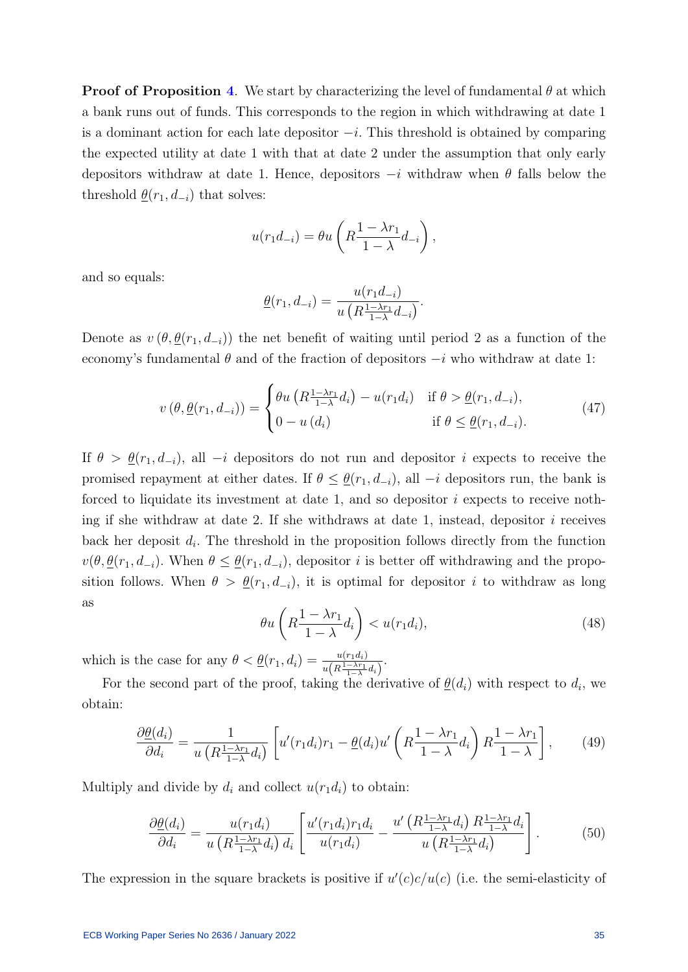**Proof of Proposition [4](#page-20-1).** We start by characterizing the level of fundamental  $\theta$  at which a bank runs out of funds. This corresponds to the region in which withdrawing at date 1 is a dominant action for each late depositor  $-i$ . This threshold is obtained by comparing the expected utility at date 1 with that at date 2 under the assumption that only early depositors withdraw at date 1. Hence, depositors  $-i$  withdraw when  $\theta$  falls below the threshold  $\underline{\theta}(r_1, d_{-i})$  that solves:

$$
u(r_1d_{-i}) = \theta u\left(R\frac{1-\lambda r_1}{1-\lambda}d_{-i}\right),\,
$$

and so equals:

$$
\underline{\theta}(r_1, d_{-i}) = \frac{u(r_1 d_{-i})}{u\left(R \frac{1 - \lambda r_1}{1 - \lambda} d_{-i}\right)}.
$$

Denote as  $v(\theta, \underline{\theta}(r_1, d_{-i}))$  the net benefit of waiting until period 2 as a function of the economy's fundamental  $\theta$  and of the fraction of depositors  $-i$  who withdraw at date 1:

$$
v(\theta, \underline{\theta}(r_1, d_{-i})) = \begin{cases} \theta u\left(R\frac{1-\lambda r_1}{1-\lambda}d_i\right) - u(r_1d_i) & \text{if } \theta > \underline{\theta}(r_1, d_{-i}), \\ 0 - u(d_i) & \text{if } \theta \le \underline{\theta}(r_1, d_{-i}). \end{cases}
$$
(47)

If  $\theta > \underline{\theta}(r_1, d_{-i})$ , all  $-i$  depositors do not run and depositor i expects to receive the promised repayment at either dates. If  $\theta \leq \underline{\theta}(r_1, d_{-i})$ , all  $-i$  depositors run, the bank is forced to liquidate its investment at date 1, and so depositor  $i$  expects to receive nothing if she withdraw at date 2. If she withdraws at date 1, instead, depositor  $i$  receives back her deposit  $d_i$ . The threshold in the proposition follows directly from the function  $v(\theta, \underline{\theta}(r_1, d_{-i})$ . When  $\theta \leq \underline{\theta}(r_1, d_{-i})$ , depositor *i* is better off withdrawing and the proposition follows. When  $\theta > \underline{\theta}(r_1, d_{-i})$ , it is optimal for depositor i to withdraw as long as

$$
\theta u\left(R\frac{1-\lambda r_1}{1-\lambda}d_i\right) < u(r_1d_i),\tag{48}
$$

which is the case for any  $\theta < \underline{\theta}(r_1, d_i) = \frac{u(r_1 d_i)}{u(R \frac{1-\lambda r_1}{1-\lambda} d_i)}$ .

For the second part of the proof, taking the derivative of  $\underline{\theta}(d_i)$  with respect to  $d_i$ , we obtain:

$$
\frac{\partial \underline{\theta}(d_i)}{\partial d_i} = \frac{1}{u\left(R\frac{1-\lambda r_1}{1-\lambda}d_i\right)} \left[ u'(r_1d_i)r_1 - \underline{\theta}(d_i)u'\left(R\frac{1-\lambda r_1}{1-\lambda}d_i\right)R\frac{1-\lambda r_1}{1-\lambda} \right],\tag{49}
$$

Multiply and divide by  $d_i$  and collect  $u(r_1d_i)$  to obtain:

$$
\frac{\partial \underline{\theta}(d_i)}{\partial d_i} = \frac{u(r_1 d_i)}{u\left(R\frac{1-\lambda r_1}{1-\lambda}d_i\right)d_i} \left[\frac{u'(r_1 d_i)r_1 d_i}{u(r_1 d_i)} - \frac{u'\left(R\frac{1-\lambda r_1}{1-\lambda}d_i\right)R\frac{1-\lambda r_1}{1-\lambda}d_i}{u\left(R\frac{1-\lambda r_1}{1-\lambda}d_i\right)}\right].\tag{50}
$$

The expression in the square brackets is positive if  $u'(c)c/u(c)$  (i.e. the semi-elasticity of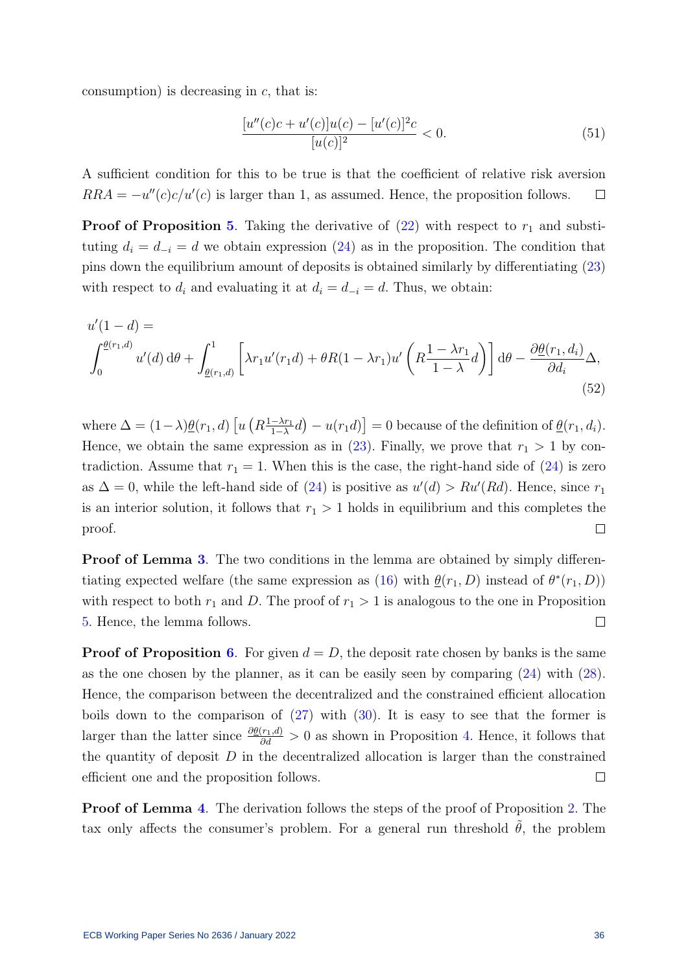consumption) is decreasing in  $c$ , that is:

$$
\frac{[u''(c)c + u'(c)]u(c) - [u'(c)]^2c}{[u(c)]^2} < 0. \tag{51}
$$

A sufficient condition for this to be true is that the coefficient of relative risk aversion  $RRA = -u''(c)c/u'(c)$  is larger than 1, as assumed. Hence, the proposition follows.  $\Box$ 

**Proof of Proposition [5](#page-21-2).** Taking the derivative of  $(22)$  with respect to  $r_1$  and substituting  $d_i = d_{-i} = d$  we obtain expression [\(24\)](#page-21-0) as in the proposition. The condition that pins down the equilibrium amount of deposits is obtained similarly by differentiating [\(23\)](#page-21-4) with respect to  $d_i$  and evaluating it at  $d_i = d_{-i} = d$ . Thus, we obtain:

$$
u'(1-d) =
$$
  

$$
\int_0^{\underline{\theta}(r_1,d)} u'(d) d\theta + \int_{\underline{\theta}(r_1,d)} \left[ \lambda r_1 u'(r_1 d) + \theta R(1-\lambda r_1) u'\left(R\frac{1-\lambda r_1}{1-\lambda}d\right) \right] d\theta - \frac{\partial \underline{\theta}(r_1,d_i)}{\partial d_i} \Delta,
$$
\n(52)

where  $\Delta = (1 - \lambda) \underline{\theta}(r_1, d) \left[ u \left( R \frac{1 - \lambda r_1}{1 - \lambda} \right) \right]$  $\left[\frac{-\lambda r_1}{1-\lambda}d\right]-u(r_1d)\right]=0$  because of the definition of  $\underline{\theta}(r_1, d_i)$ . Hence, we obtain the same expression as in  $(23)$ . Finally, we prove that  $r_1 > 1$  by contradiction. Assume that  $r_1 = 1$ . When this is the case, the right-hand side of  $(24)$  is zero as  $\Delta = 0$ , while the left-hand side of [\(24\)](#page-21-0) is positive as  $u'(d) > Ru'(Rd)$ . Hence, since  $r_1$ is an interior solution, it follows that  $r_1 > 1$  holds in equilibrium and this completes the  $\Box$ proof.

**Proof of Lemma [3](#page-23-3).** The two conditions in the lemma are obtained by simply differen-tiating expected welfare (the same expression as [\(16\)](#page-16-1) with  $\underline{\theta}(r_1, D)$  instead of  $\theta^*(r_1, D)$ ) with respect to both  $r_1$  and D. The proof of  $r_1 > 1$  is analogous to the one in Proposition  $\Box$ [5.](#page-21-2) Hence, the lemma follows.

**Proof of Proposition [6](#page-23-2).** For given  $d = D$ , the deposit rate chosen by banks is the same as the one chosen by the planner, as it can be easily seen by comparing [\(24\)](#page-21-0) with [\(28\)](#page-23-1). Hence, the comparison between the decentralized and the constrained efficient allocation boils down to the comparison of  $(27)$  with  $(30)$ . It is easy to see that the former is larger than the latter since  $\frac{\partial \theta(r_1, d)}{\partial d} > 0$  as shown in Proposition [4.](#page-20-1) Hence, it follows that the quantity of deposit  $D$  in the decentralized allocation is larger than the constrained efficient one and the proposition follows.  $\Box$ 

Proof of Lemma [4](#page-25-1). The derivation follows the steps of the proof of Proposition [2.](#page-15-3) The tax only affects the consumer's problem. For a general run threshold  $\hat{\theta}$ , the problem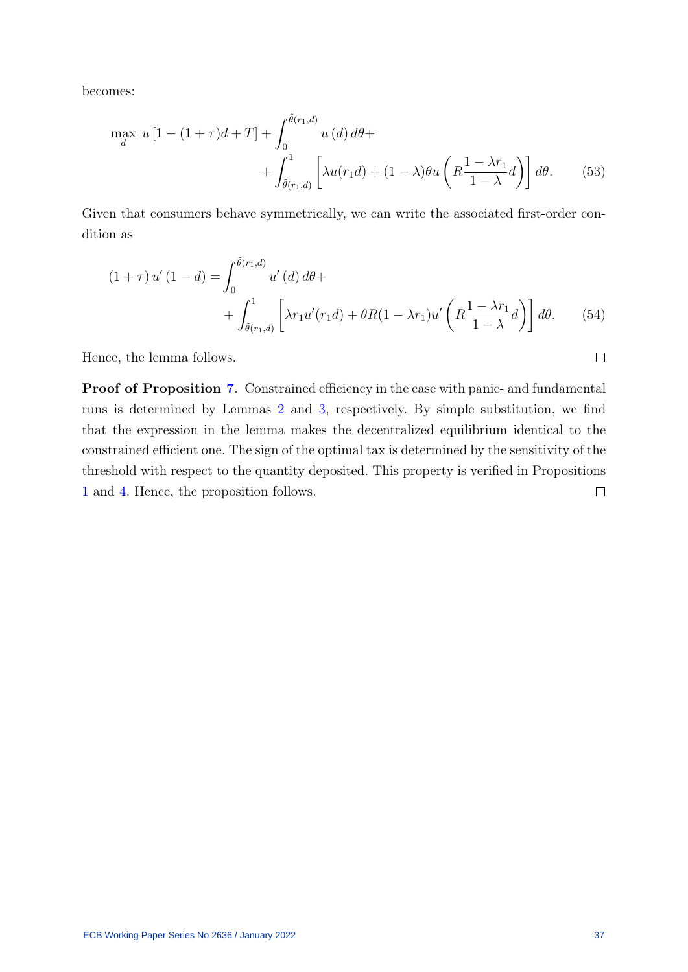becomes:

$$
\max_{d} u \left[ 1 - (1 + \tau)d + T \right] + \int_{0}^{\tilde{\theta}(r_1, d)} u \left( d \right) d\theta +
$$

$$
+ \int_{\tilde{\theta}(r_1, d)}^{1} \left[ \lambda u(r_1 d) + (1 - \lambda)\theta u \left( R \frac{1 - \lambda r_1}{1 - \lambda} d \right) \right] d\theta. \tag{53}
$$

Given that consumers behave symmetrically, we can write the associated first-order condition as

$$
(1+\tau) u'(1-d) = \int_0^{\tilde{\theta}(r_1,d)} u'(d) d\theta +
$$
  
+ 
$$
\int_{\tilde{\theta}(r_1,d)}^1 \left[ \lambda r_1 u'(r_1 d) + \theta R (1-\lambda r_1) u'\left(R\frac{1-\lambda r_1}{1-\lambda}d\right) \right] d\theta.
$$
 (54)

Hence, the lemma follows.

Proof of Proposition [7](#page-25-2). Constrained efficiency in the case with panic- and fundamental runs is determined by Lemmas [2](#page-16-3) and [3,](#page-23-3) respectively. By simple substitution, we find that the expression in the lemma makes the decentralized equilibrium identical to the constrained efficient one. The sign of the optimal tax is determined by the sensitivity of the threshold with respect to the quantity deposited. This property is verified in Propositions [1](#page-13-1) and [4.](#page-20-1) Hence, the proposition follows.  $\Box$ 

 $\Box$